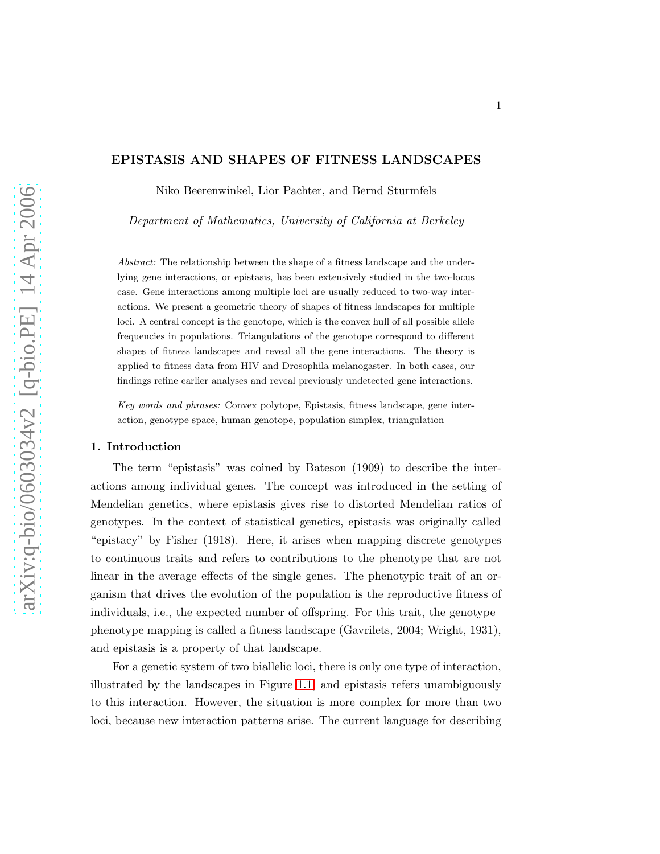## EPISTASIS AND SHAPES OF FITNESS LANDSCAPES

Niko Beerenwinkel, Lior Pachter, and Bernd Sturmfels

*Department of Mathematics, University of California at Berkeley*

Abstract: The relationship between the shape of a fitness landscape and the underlying gene interactions, or epistasis, has been extensively studied in the two-locus case. Gene interactions among multiple loci are usually reduced to two-way interactions. We present a geometric theory of shapes of fitness landscapes for multiple loci. A central concept is the genotope, which is the convex hull of all possible allele frequencies in populations. Triangulations of the genotope correspond to different shapes of fitness landscapes and reveal all the gene interactions. The theory is applied to fitness data from HIV and Drosophila melanogaster. In both cases, our findings refine earlier analyses and reveal previously undetected gene interactions.

Key words and phrases: Convex polytope, Epistasis, fitness landscape, gene interaction, genotype space, human genotope, population simplex, triangulation

#### 1. Introduction

The term "epistasis" was coined by Bateson (1909) to describe the interactions among individual genes. The concept was introduced in the setting of Mendelian genetics, where epistasis gives rise to distorted Mendelian ratios of genotypes. In the context of statistical genetics, epistasis was originally called "epistacy" by Fisher (1918). Here, it arises when mapping discrete genotypes to continuous traits and refers to contributions to the phenotype that are not linear in the average effects of the single genes. The phenotypic trait of an organism that drives the evolution of the population is the reproductive fitness of individuals, i.e., the expected number of offspring. For this trait, the genotype– phenotype mapping is called a fitness landscape (Gavrilets, 2004; Wright, 1931), and epistasis is a property of that landscape.

For a genetic system of two biallelic loci, there is only one type of interaction, illustrated by the landscapes in Figure [1.1,](#page-1-0) and epistasis refers unambiguously to this interaction. However, the situation is more complex for more than two loci, because new interaction patterns arise. The current language for describing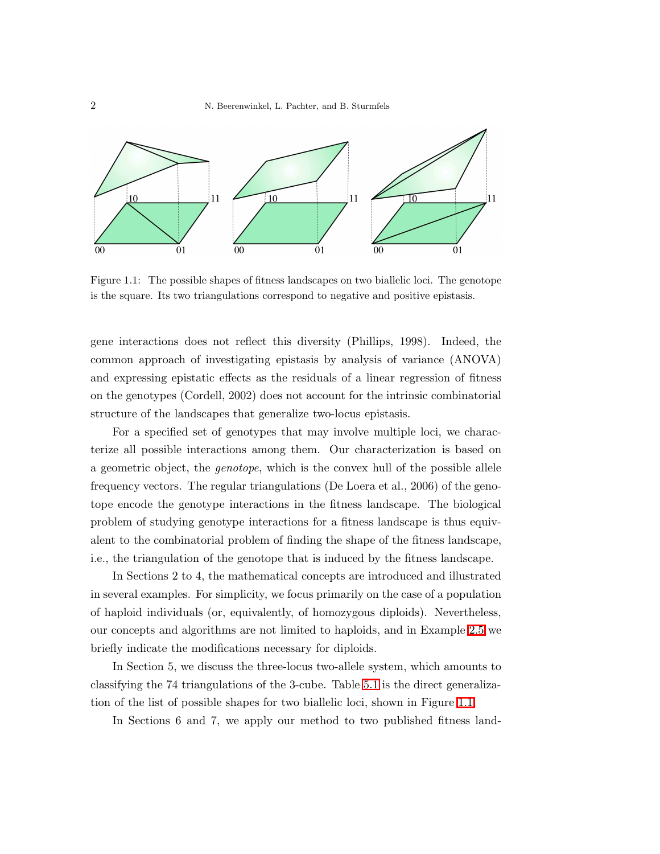

<span id="page-1-0"></span>Figure 1.1: The possible shapes of fitness landscapes on two biallelic loci. The genotope is the square. Its two triangulations correspond to negative and positive epistasis.

gene interactions does not reflect this diversity (Phillips, 1998). Indeed, the common approach of investigating epistasis by analysis of variance (ANOVA) and expressing epistatic effects as the residuals of a linear regression of fitness on the genotypes (Cordell, 2002) does not account for the intrinsic combinatorial structure of the landscapes that generalize two-locus epistasis.

For a specified set of genotypes that may involve multiple loci, we characterize all possible interactions among them. Our characterization is based on a geometric object, the *genotope*, which is the convex hull of the possible allele frequency vectors. The regular triangulations (De Loera et al., 2006) of the genotope encode the genotype interactions in the fitness landscape. The biological problem of studying genotype interactions for a fitness landscape is thus equivalent to the combinatorial problem of finding the shape of the fitness landscape, i.e., the triangulation of the genotope that is induced by the fitness landscape.

In Sections 2 to 4, the mathematical concepts are introduced and illustrated in several examples. For simplicity, we focus primarily on the case of a population of haploid individuals (or, equivalently, of homozygous diploids). Nevertheless, our concepts and algorithms are not limited to haploids, and in Example [2.5](#page-5-0) we briefly indicate the modifications necessary for diploids.

In Section 5, we discuss the three-locus two-allele system, which amounts to classifying the 74 triangulations of the 3-cube. Table [5.1](#page-16-0) is the direct generalization of the list of possible shapes for two biallelic loci, shown in Figure [1.1.](#page-1-0)

In Sections 6 and 7, we apply our method to two published fitness land-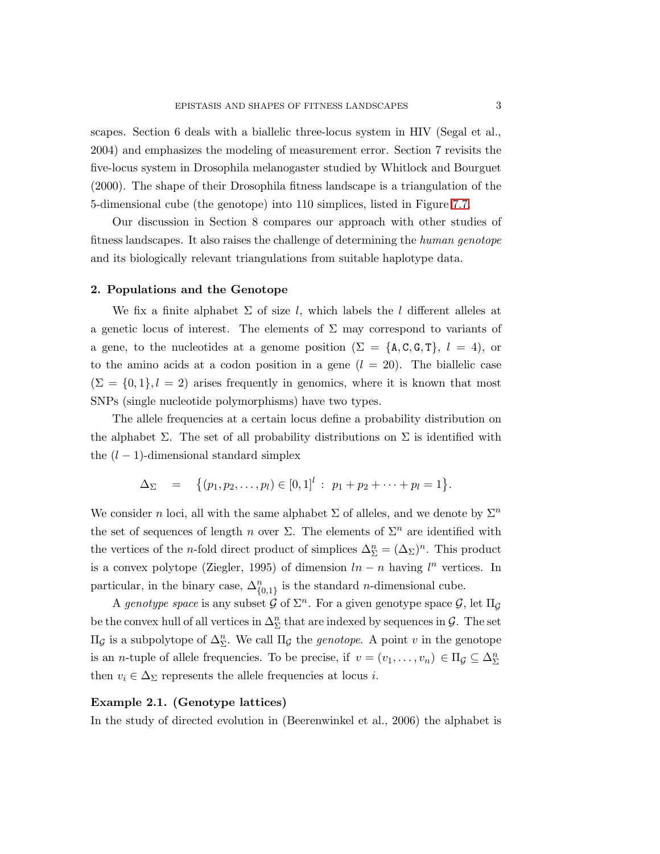scapes. Section 6 deals with a biallelic three-locus system in HIV (Segal et al., 2004) and emphasizes the modeling of measurement error. Section 7 revisits the five-locus system in Drosophila melanogaster studied by Whitlock and Bourguet (2000). The shape of their Drosophila fitness landscape is a triangulation of the 5-dimensional cube (the genotope) into 110 simplices, listed in Figure [7.7.](#page-26-0)

Our discussion in Section 8 compares our approach with other studies of fitness landscapes. It also raises the challenge of determining the *human genotope* and its biologically relevant triangulations from suitable haplotype data.

### 2. Populations and the Genotope

We fix a finite alphabet  $\Sigma$  of size l, which labels the l different alleles at a genetic locus of interest. The elements of  $\Sigma$  may correspond to variants of a gene, to the nucleotides at a genome position ( $\Sigma = \{A, C, G, T\}, l = 4$ ), or to the amino acids at a codon position in a gene  $(l = 20)$ . The biallelic case  $(\Sigma = \{0, 1\}, l = 2)$  arises frequently in genomics, where it is known that most SNPs (single nucleotide polymorphisms) have two types.

The allele frequencies at a certain locus define a probability distribution on the alphabet  $\Sigma$ . The set of all probability distributions on  $\Sigma$  is identified with the  $(l-1)$ -dimensional standard simplex

$$
\Delta_{\Sigma} = \{(p_1, p_2, \ldots, p_l) \in [0, 1]^l : p_1 + p_2 + \cdots + p_l = 1\}.
$$

We consider n loci, all with the same alphabet  $\Sigma$  of alleles, and we denote by  $\Sigma^n$ the set of sequences of length n over  $\Sigma$ . The elements of  $\Sigma^n$  are identified with the vertices of the *n*-fold direct product of simplices  $\Delta_{\Sigma}^{n} = (\Delta_{\Sigma})^{n}$ . This product is a convex polytope (Ziegler, 1995) of dimension  $ln - n$  having  $l^n$  vertices. In particular, in the binary case,  $\Delta_{\{0,1\}}^n$  is the standard *n*-dimensional cube.

A *genotype space* is any subset  $\mathcal G$  of  $\Sigma^n$ . For a given genotype space  $\mathcal G$ , let  $\Pi_{\mathcal G}$ be the convex hull of all vertices in  $\Delta^n_{\Sigma}$  that are indexed by sequences in  $\mathcal{G}$ . The set  $\Pi_{\mathcal{G}}$  is a subpolytope of  $\Delta^n_{\Sigma}$ . We call  $\Pi_{\mathcal{G}}$  the *genotope*. A point v in the genotope is an *n*-tuple of allele frequencies. To be precise, if  $v = (v_1, \ldots, v_n) \in \Pi_{\mathcal{G}} \subseteq \Delta_{\Sigma}^n$ then  $v_i \in \Delta_{\Sigma}$  represents the allele frequencies at locus *i*.

### Example 2.1. (Genotype lattices)

In the study of directed evolution in (Beerenwinkel et al., 2006) the alphabet is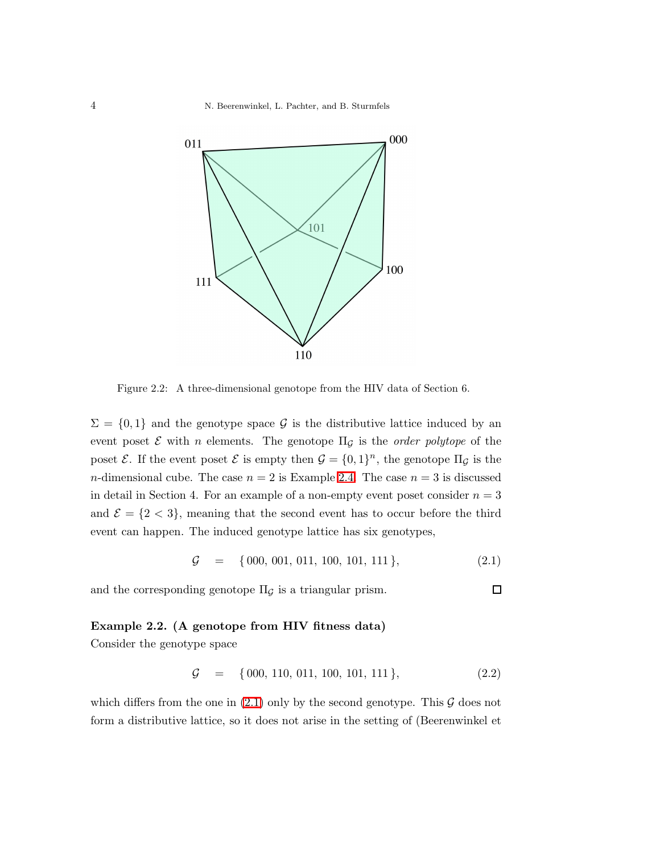4 N. Beerenwinkel, L. Pachter, and B. Sturmfels



<span id="page-3-1"></span>Figure 2.2: A three-dimensional genotope from the HIV data of Section 6.

 $\Sigma = \{0,1\}$  and the genotype space G is the distributive lattice induced by an event poset  $\mathcal E$  with *n* elements. The genotope  $\Pi_{\mathcal G}$  is the *order polytope* of the poset  $\mathcal{E}$ . If the event poset  $\mathcal{E}$  is empty then  $\mathcal{G} = \{0,1\}^n$ , the genotope  $\Pi_{\mathcal{G}}$  is the *n*-dimensional cube. The case  $n = 2$  is Example [2.4.](#page-4-0) The case  $n = 3$  is discussed in detail in Section 4. For an example of a non-empty event poset consider  $n = 3$ and  $\mathcal{E} = \{2 < 3\}$ , meaning that the second event has to occur before the third event can happen. The induced genotype lattice has six genotypes,

$$
\mathcal{G} = \{000, 001, 011, 100, 101, 111\},\tag{2.1}
$$

<span id="page-3-2"></span>and the corresponding genotope  $\Pi_{\mathcal{G}}$  is a triangular prism.

# Example 2.2. (A genotope from HIV fitness data)

Consider the genotype space

$$
\mathcal{G} = \{000, 110, 011, 100, 101, 111\},\tag{2.2}
$$

which differs from the one in  $(2.1)$  only by the second genotype. This  $\mathcal G$  does not form a distributive lattice, so it does not arise in the setting of (Beerenwinkel et

<span id="page-3-0"></span> $\Box$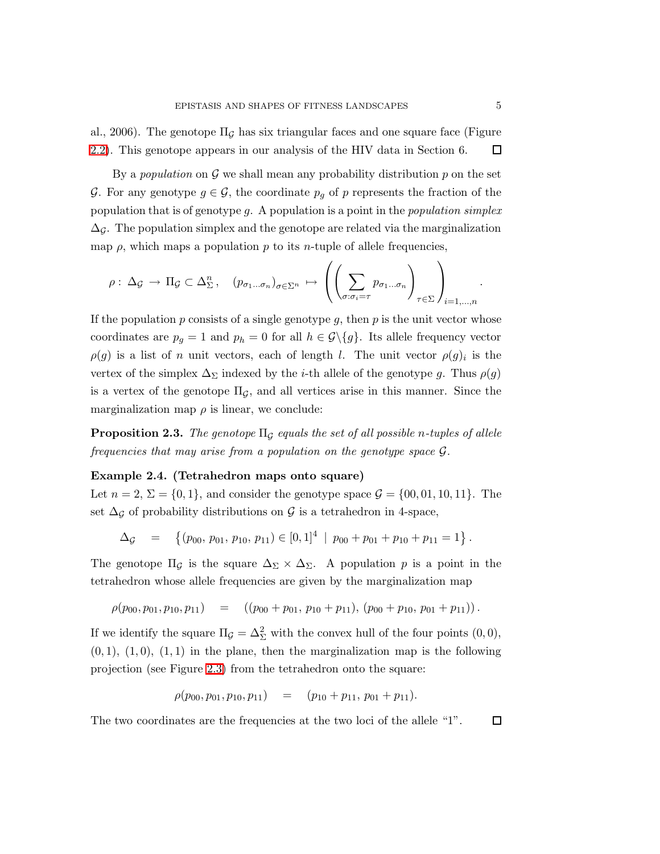al., 2006). The genotope  $\Pi_G$  has six triangular faces and one square face (Figure [2.2\)](#page-3-1). This genotope appears in our analysis of the HIV data in Section 6.  $\Box$ 

By a *population* on  $\mathcal G$  we shall mean any probability distribution  $p$  on the set G. For any genotype  $g \in \mathcal{G}$ , the coordinate  $p_g$  of p represents the fraction of the population that is of genotype g. A population is a point in the *population simplex*  $\Delta_{\mathcal{G}}$ . The population simplex and the genotope are related via the marginalization map  $\rho$ , which maps a population p to its n-tuple of allele frequencies,

$$
\rho: \Delta_{\mathcal{G}} \to \Pi_{\mathcal{G}} \subset \Delta_{\Sigma}^n, \quad (p_{\sigma_1 \dots \sigma_n})_{\sigma \in \Sigma^n} \mapsto \left( \left( \sum_{\sigma: \sigma_i = \tau} p_{\sigma_1 \dots \sigma_n} \right)_{\tau \in \Sigma} \right)_{i=1,\dots,n}.
$$

If the population  $p$  consists of a single genotype  $q$ , then  $p$  is the unit vector whose coordinates are  $p_g = 1$  and  $p_h = 0$  for all  $h \in \mathcal{G}\backslash\{g\}$ . Its allele frequency vector  $\rho(g)$  is a list of n unit vectors, each of length l. The unit vector  $\rho(g)_i$  is the vertex of the simplex  $\Delta_{\Sigma}$  indexed by the *i*-th allele of the genotype g. Thus  $\rho(g)$ is a vertex of the genotope  $\Pi_{\mathcal{G}}$ , and all vertices arise in this manner. Since the marginalization map  $\rho$  is linear, we conclude:

<span id="page-4-0"></span>**Proposition 2.3.** *The genotope*  $\Pi_G$  *equals the set of all possible n-tuples of allele frequencies that may arise from a population on the genotype space* G*.*

### Example 2.4. (Tetrahedron maps onto square)

Let  $n = 2$ ,  $\Sigma = \{0, 1\}$ , and consider the genotype space  $\mathcal{G} = \{00, 01, 10, 11\}$ . The set  $\Delta_{\mathcal{G}}$  of probability distributions on  $\mathcal{G}$  is a tetrahedron in 4-space,

$$
\Delta_{\mathcal{G}} = \left\{ (p_{00}, p_{01}, p_{10}, p_{11}) \in [0, 1]^4 \mid p_{00} + p_{01} + p_{10} + p_{11} = 1 \right\}.
$$

The genotope  $\Pi$ <sub>G</sub> is the square  $\Delta_{\Sigma} \times \Delta_{\Sigma}$ . A population p is a point in the tetrahedron whose allele frequencies are given by the marginalization map

$$
\rho(p_{00}, p_{01}, p_{10}, p_{11}) = ((p_{00} + p_{01}, p_{10} + p_{11}), (p_{00} + p_{10}, p_{01} + p_{11})).
$$

If we identify the square  $\Pi_{\mathcal{G}} = \Delta_{\Sigma}^2$  with the convex hull of the four points  $(0,0)$ ,  $(0, 1), (1, 0), (1, 1)$  in the plane, then the marginalization map is the following projection (see Figure [2.3\)](#page-5-1) from the tetrahedron onto the square:

$$
\rho(p_{00}, p_{01}, p_{10}, p_{11}) = (p_{10} + p_{11}, p_{01} + p_{11}).
$$

The two coordinates are the frequencies at the two loci of the allele "1".  $\Box$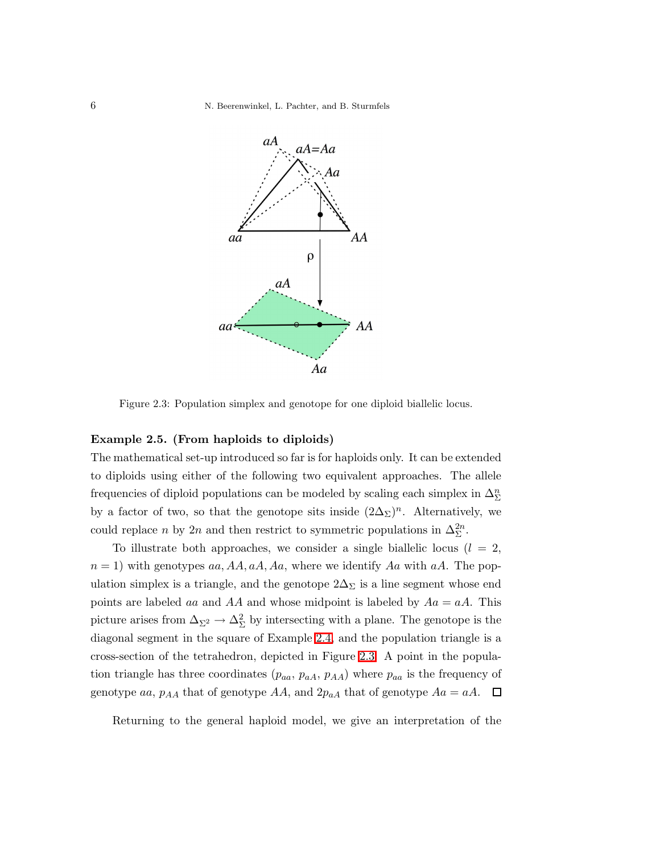6 N. Beerenwinkel, L. Pachter, and B. Sturmfels



<span id="page-5-1"></span>Figure 2.3: Population simplex and genotope for one diploid biallelic locus.

# <span id="page-5-0"></span>Example 2.5. (From haploids to diploids)

The mathematical set-up introduced so far is for haploids only. It can be extended to diploids using either of the following two equivalent approaches. The allele frequencies of diploid populations can be modeled by scaling each simplex in  $\Delta^n_\Sigma$ by a factor of two, so that the genotope sits inside  $(2\Delta_{\Sigma})^n$ . Alternatively, we could replace *n* by 2*n* and then restrict to symmetric populations in  $\Delta_{\Sigma}^{2n}$ .

To illustrate both approaches, we consider a single biallelic locus  $(l = 2,$  $n = 1$ ) with genotypes aa, AA, aA, Aa, where we identify Aa with aA. The population simplex is a triangle, and the genotope  $2\Delta_{\Sigma}$  is a line segment whose end points are labeled aa and AA and whose midpoint is labeled by  $Aa = aA$ . This picture arises from  $\Delta_{\Sigma^2} \to \Delta_{\Sigma}^2$  by intersecting with a plane. The genotope is the diagonal segment in the square of Example [2.4,](#page-4-0) and the population triangle is a cross-section of the tetrahedron, depicted in Figure [2.3.](#page-5-1) A point in the population triangle has three coordinates  $(p_{aa}, p_{aA}, p_{AA})$  where  $p_{aa}$  is the frequency of genotype aa,  $p_{AA}$  that of genotype  $AA$ , and  $2p_{aA}$  that of genotype  $Aa = aA$ .  $\Box$ 

Returning to the general haploid model, we give an interpretation of the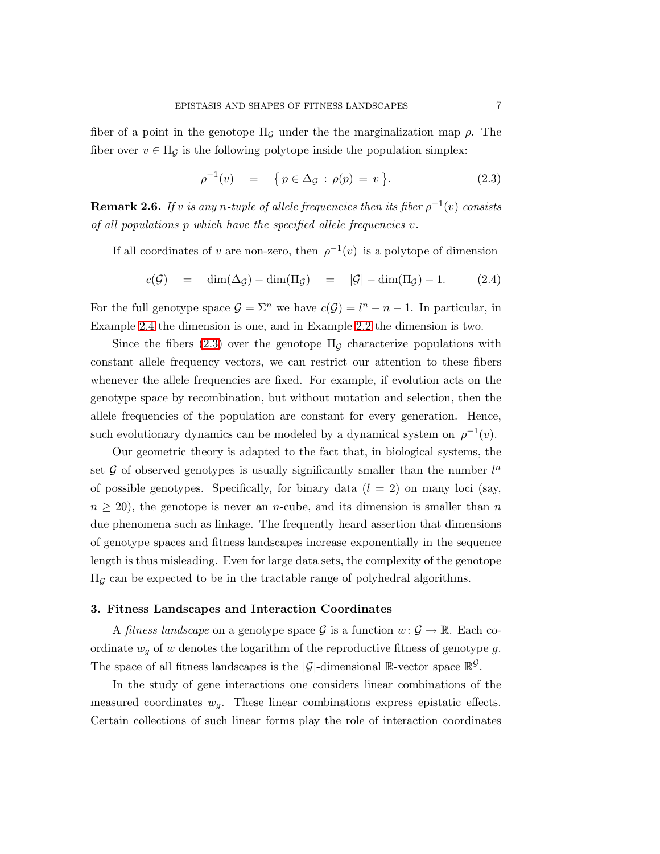fiber of a point in the genotope  $\Pi_{\mathcal{G}}$  under the the marginalization map  $\rho$ . The fiber over  $v \in \Pi_G$  is the following polytope inside the population simplex:

<span id="page-6-1"></span><span id="page-6-0"></span>
$$
\rho^{-1}(v) = \{ p \in \Delta_{\mathcal{G}} : \rho(p) = v \}. \tag{2.3}
$$

 $\bf{Remark 2.6.}$  *If*  $v$  *is any*  $n$ -tuple of allele frequencies then its fiber  $\rho^{-1}(v)$  consists *of all populations* p *which have the specified allele frequencies* v*.*

If all coordinates of v are non-zero, then  $\rho^{-1}(v)$  is a polytope of dimension

$$
c(\mathcal{G}) = \dim(\Delta_{\mathcal{G}}) - \dim(\Pi_{\mathcal{G}}) = |\mathcal{G}| - \dim(\Pi_{\mathcal{G}}) - 1. \tag{2.4}
$$

For the full genotype space  $\mathcal{G} = \Sigma^n$  we have  $c(\mathcal{G}) = l^n - n - 1$ . In particular, in Example [2.4](#page-4-0) the dimension is one, and in Example [2.2](#page-3-2) the dimension is two.

Since the fibers [\(2.3\)](#page-6-0) over the genotope  $\Pi_{\mathcal{G}}$  characterize populations with constant allele frequency vectors, we can restrict our attention to these fibers whenever the allele frequencies are fixed. For example, if evolution acts on the genotype space by recombination, but without mutation and selection, then the allele frequencies of the population are constant for every generation. Hence, such evolutionary dynamics can be modeled by a dynamical system on  $\rho^{-1}(v)$ .

Our geometric theory is adapted to the fact that, in biological systems, the set  $G$  of observed genotypes is usually significantly smaller than the number  $l^n$ of possible genotypes. Specifically, for binary data  $(l = 2)$  on many loci (say,  $n \geq 20$ , the genotope is never an *n*-cube, and its dimension is smaller than *n* due phenomena such as linkage. The frequently heard assertion that dimensions of genotype spaces and fitness landscapes increase exponentially in the sequence length is thus misleading. Even for large data sets, the complexity of the genotope  $\Pi_G$  can be expected to be in the tractable range of polyhedral algorithms.

#### 3. Fitness Landscapes and Interaction Coordinates

A *fitness landscape* on a genotype space  $\mathcal{G}$  is a function  $w: \mathcal{G} \to \mathbb{R}$ . Each coordinate  $w_q$  of w denotes the logarithm of the reproductive fitness of genotype g. The space of all fitness landscapes is the  $|\mathcal{G}|$ -dimensional R-vector space  $\mathbb{R}^{\mathcal{G}}$ .

In the study of gene interactions one considers linear combinations of the measured coordinates  $w_g$ . These linear combinations express epistatic effects. Certain collections of such linear forms play the role of interaction coordinates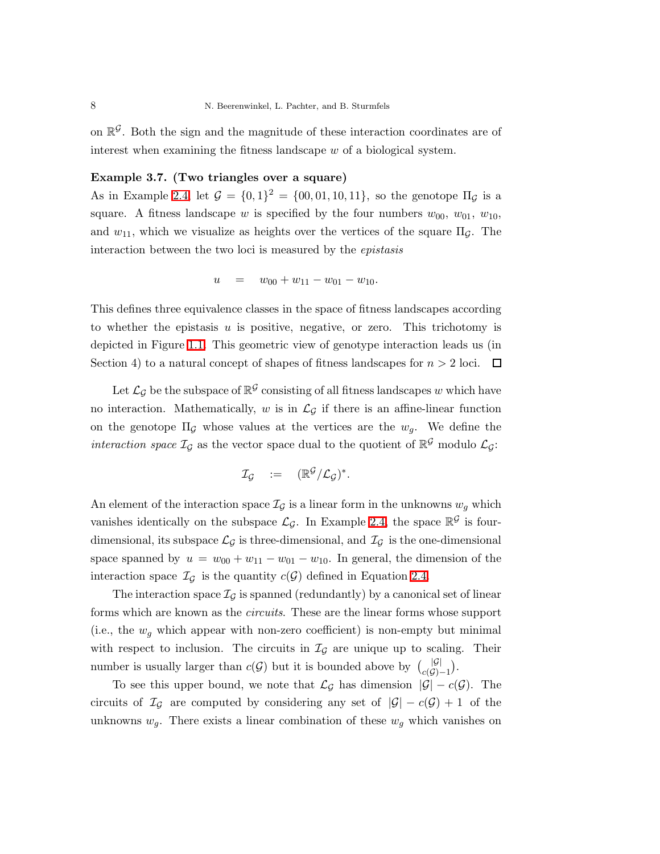<span id="page-7-0"></span>on  $\mathbb{R}^{\mathcal{G}}$ . Both the sign and the magnitude of these interaction coordinates are of interest when examining the fitness landscape w of a biological system.

# Example 3.7. (Two triangles over a square)

As in Example [2.4,](#page-4-0) let  $G = \{0, 1\}^2 = \{00, 01, 10, 11\}$ , so the genotope  $\Pi_G$  is a square. A fitness landscape w is specified by the four numbers  $w_{00}$ ,  $w_{01}$ ,  $w_{10}$ , and  $w_{11}$ , which we visualize as heights over the vertices of the square  $\Pi_{\mathcal{G}}$ . The interaction between the two loci is measured by the *epistasis*

$$
u = w_{00} + w_{11} - w_{01} - w_{10}.
$$

This defines three equivalence classes in the space of fitness landscapes according to whether the epistasis  $u$  is positive, negative, or zero. This trichotomy is depicted in Figure [1.1.](#page-1-0) This geometric view of genotype interaction leads us (in Section 4) to a natural concept of shapes of fitness landscapes for  $n > 2$  loci.  $\Box$ 

Let  $\mathcal{L}_{\mathcal{G}}$  be the subspace of  $\mathbb{R}^{\mathcal{G}}$  consisting of all fitness landscapes w which have no interaction. Mathematically, w is in  $\mathcal{L}_{\mathcal{G}}$  if there is an affine-linear function on the genotope  $\Pi$ <sub>G</sub> whose values at the vertices are the  $w_g$ . We define the *interaction space*  $\mathcal{I}_{\mathcal{G}}$  as the vector space dual to the quotient of  $\mathbb{R}^{\mathcal{G}}$  modulo  $\mathcal{L}_{\mathcal{G}}$ :

$$
\mathcal{I}_{\mathcal{G}} \quad := \quad (\mathbb{R}^{\mathcal{G}}/\mathcal{L}_{\mathcal{G}})^*.
$$

An element of the interaction space  $\mathcal{I}_{\mathcal{G}}$  is a linear form in the unknowns  $w_q$  which vanishes identically on the subspace  $\mathcal{L}_{\mathcal{G}}$ . In Example [2.4,](#page-4-0) the space  $\mathbb{R}^{\mathcal{G}}$  is fourdimensional, its subspace  $\mathcal{L}_{\mathcal{G}}$  is three-dimensional, and  $\mathcal{I}_{\mathcal{G}}$  is the one-dimensional space spanned by  $u = w_{00} + w_{11} - w_{01} - w_{10}$ . In general, the dimension of the interaction space  $\mathcal{I}_{\mathcal{G}}$  is the quantity  $c(\mathcal{G})$  defined in Equation [2.4.](#page-6-1)

The interaction space  $\mathcal{I}_{\mathcal{G}}$  is spanned (redundantly) by a canonical set of linear forms which are known as the *circuits*. These are the linear forms whose support (i.e., the  $w_q$  which appear with non-zero coefficient) is non-empty but minimal with respect to inclusion. The circuits in  $\mathcal{I}_{\mathcal{G}}$  are unique up to scaling. Their number is usually larger than  $c(G)$  but it is bounded above by  $\binom{|G|}{c(G)-1}$ .

To see this upper bound, we note that  $\mathcal{L}_{\mathcal{G}}$  has dimension  $|\mathcal{G}| - c(\mathcal{G})$ . The circuits of  $\mathcal{I}_{\mathcal{G}}$  are computed by considering any set of  $|\mathcal{G}| - c(\mathcal{G}) + 1$  of the unknowns  $w_g$ . There exists a linear combination of these  $w_g$  which vanishes on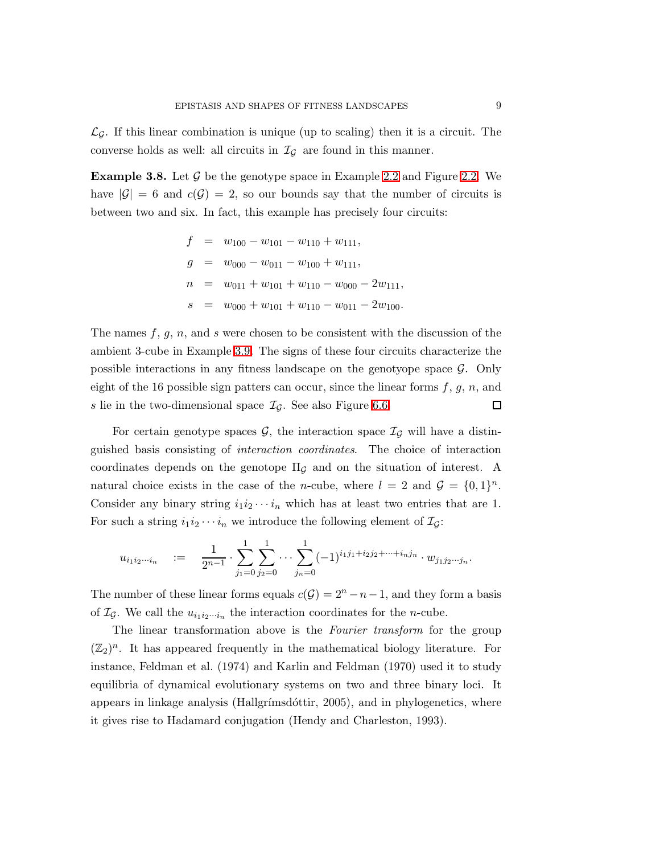$\mathcal{L}_{\mathcal{G}}$ . If this linear combination is unique (up to scaling) then it is a circuit. The converse holds as well: all circuits in  $\mathcal{I}_{\mathcal{G}}$  are found in this manner.

**Example 3.8.** Let  $\mathcal{G}$  be the genotype space in Example [2.2](#page-3-2) and Figure [2.2.](#page-3-1) We have  $|\mathcal{G}| = 6$  and  $c(\mathcal{G}) = 2$ , so our bounds say that the number of circuits is between two and six. In fact, this example has precisely four circuits:

$$
f = w_{100} - w_{101} - w_{110} + w_{111},
$$
  
\n
$$
g = w_{000} - w_{011} - w_{100} + w_{111},
$$
  
\n
$$
n = w_{011} + w_{101} + w_{110} - w_{000} - 2w_{111},
$$
  
\n
$$
s = w_{000} + w_{101} + w_{110} - w_{011} - 2w_{100}.
$$

The names  $f, g, n$ , and s were chosen to be consistent with the discussion of the ambient 3-cube in Example [3.9.](#page-8-0) The signs of these four circuits characterize the possible interactions in any fitness landscape on the genotyope space  $\mathcal{G}$ . Only eight of the 16 possible sign patters can occur, since the linear forms  $f, g, n$ , and  $\Box$ s lie in the two-dimensional space  $\mathcal{I}_{\mathcal{G}}$ . See also Figure [6.6.](#page-23-0)

For certain genotype spaces  $\mathcal{G}$ , the interaction space  $\mathcal{I}_{\mathcal{G}}$  will have a distinguished basis consisting of *interaction coordinates*. The choice of interaction coordinates depends on the genotope  $\Pi_{\mathcal{G}}$  and on the situation of interest. A natural choice exists in the case of the *n*-cube, where  $l = 2$  and  $\mathcal{G} = \{0, 1\}^n$ . Consider any binary string  $i_1i_2\cdots i_n$  which has at least two entries that are 1. For such a string  $i_1i_2\cdots i_n$  we introduce the following element of  $\mathcal{I}_{\mathcal{G}}$ :

$$
u_{i_1i_2\cdots i_n} \quad := \quad \frac{1}{2^{n-1}} \cdot \sum_{j_1=0}^1 \sum_{j_2=0}^1 \cdots \sum_{j_n=0}^1 (-1)^{i_1j_1+i_2j_2+\cdots+i_nj_n} \cdot w_{j_1j_2\cdots j_n}.
$$

The number of these linear forms equals  $c(G) = 2<sup>n</sup> - n - 1$ , and they form a basis of  $\mathcal{I}_{\mathcal{G}}$ . We call the  $u_{i_1 i_2 \cdots i_n}$  the interaction coordinates for the *n*-cube.

<span id="page-8-0"></span>The linear transformation above is the *Fourier transform* for the group  $(\mathbb{Z}_2)^n$ . It has appeared frequently in the mathematical biology literature. For instance, Feldman et al. (1974) and Karlin and Feldman (1970) used it to study equilibria of dynamical evolutionary systems on two and three binary loci. It appears in linkage analysis (Hallgrímsdóttir,  $2005$ ), and in phylogenetics, where it gives rise to Hadamard conjugation (Hendy and Charleston, 1993).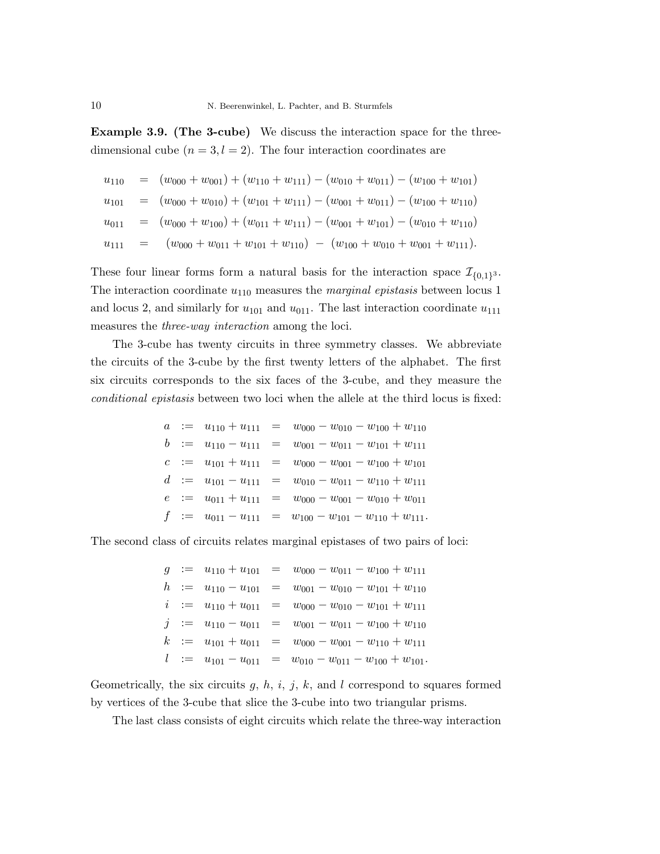Example 3.9. (The 3-cube) We discuss the interaction space for the threedimensional cube  $(n = 3, l = 2)$ . The four interaction coordinates are

$$
u_{110} = (w_{000} + w_{001}) + (w_{110} + w_{111}) - (w_{010} + w_{011}) - (w_{100} + w_{101})
$$
  
\n
$$
u_{101} = (w_{000} + w_{010}) + (w_{101} + w_{111}) - (w_{001} + w_{011}) - (w_{100} + w_{110})
$$
  
\n
$$
u_{011} = (w_{000} + w_{100}) + (w_{011} + w_{111}) - (w_{001} + w_{101}) - (w_{010} + w_{110})
$$
  
\n
$$
u_{111} = (w_{000} + w_{011} + w_{101} + w_{110}) - (w_{100} + w_{010} + w_{001} + w_{111}).
$$

These four linear forms form a natural basis for the interaction space  $\mathcal{I}_{\{0,1\}^3}$ . The interaction coordinate  $u_{110}$  measures the *marginal epistasis* between locus 1 and locus 2, and similarly for  $u_{101}$  and  $u_{011}$ . The last interaction coordinate  $u_{111}$ measures the *three-way interaction* among the loci.

The 3-cube has twenty circuits in three symmetry classes. We abbreviate the circuits of the 3-cube by the first twenty letters of the alphabet. The first six circuits corresponds to the six faces of the 3-cube, and they measure the *conditional epistasis* between two loci when the allele at the third locus is fixed:

$$
a := u_{110} + u_{111} = w_{000} - w_{010} - w_{100} + w_{110}
$$
  
\n
$$
b := u_{110} - u_{111} = w_{001} - w_{011} - w_{101} + w_{111}
$$
  
\n
$$
c := u_{101} + u_{111} = w_{000} - w_{001} - w_{100} + w_{101}
$$
  
\n
$$
d := u_{101} - u_{111} = w_{010} - w_{011} - w_{110} + w_{111}
$$
  
\n
$$
e := u_{011} + u_{111} = w_{000} - w_{001} - w_{010} + w_{011}
$$
  
\n
$$
f := u_{011} - u_{111} = w_{100} - w_{101} - w_{110} + w_{111}.
$$

The second class of circuits relates marginal epistases of two pairs of loci:

|  |  | $g := u_{110} + u_{101} = w_{000} - w_{011} - w_{100} + w_{111}$     |
|--|--|----------------------------------------------------------------------|
|  |  | $h$ := $u_{110} - u_{101}$ = $w_{001} - w_{010} - w_{101} + w_{110}$ |
|  |  | $i := u_{110} + u_{011} = w_{000} - w_{010} - w_{101} + w_{111}$     |
|  |  | $j := u_{110} - u_{011} = w_{001} - w_{011} - w_{100} + w_{110}$     |
|  |  | $k := u_{101} + u_{011} = w_{000} - w_{001} - w_{110} + w_{111}$     |
|  |  | $l := u_{101} - u_{011} = w_{010} - w_{011} - w_{100} + w_{101}.$    |

Geometrically, the six circuits  $g, h, i, j, k$ , and l correspond to squares formed by vertices of the 3-cube that slice the 3-cube into two triangular prisms.

The last class consists of eight circuits which relate the three-way interaction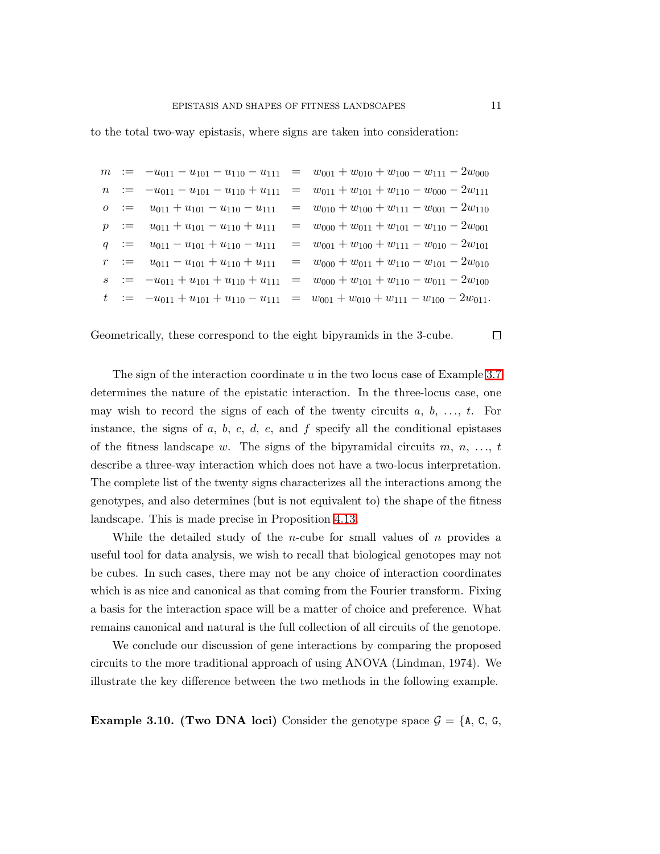to the total two-way epistasis, where signs are taken into consideration:

|  |  | $m := -u_{011} - u_{101} - u_{110} - u_{111} = w_{001} + w_{010} + w_{100} - w_{111} - 2w_{000}$    |
|--|--|-----------------------------------------------------------------------------------------------------|
|  |  | $n := -u_{011} - u_{101} - u_{110} + u_{111} = w_{011} + w_{101} + w_{110} - w_{000} - 2w_{111}$    |
|  |  | $o$ := $u_{011} + u_{101} - u_{110} - u_{111}$ = $w_{010} + w_{100} + w_{111} - w_{001} - 2w_{110}$ |
|  |  | $p := u_{011} + u_{101} - u_{110} + u_{111} = w_{000} + w_{011} + w_{101} - w_{110} - 2w_{001}$     |
|  |  | $q := u_{011} - u_{101} + u_{110} - u_{111} = w_{001} + w_{100} + w_{111} - w_{010} - 2w_{101}$     |
|  |  | $r := u_{011} - u_{101} + u_{110} + u_{111} = w_{000} + w_{011} + w_{110} - w_{101} - 2w_{010}$     |
|  |  | $s := -u_{011} + u_{101} + u_{110} + u_{111} = w_{000} + w_{101} + w_{110} - w_{011} - 2w_{100}$    |
|  |  | $t := -u_{011} + u_{101} + u_{110} - u_{111} = w_{001} + w_{010} + w_{111} - w_{100} - 2w_{011}.$   |

Geometrically, these correspond to the eight bipyramids in the 3-cube.

The sign of the interaction coordinate u in the two locus case of Example [3.7](#page-7-0) determines the nature of the epistatic interaction. In the three-locus case, one may wish to record the signs of each of the twenty circuits  $a, b, \ldots, t$ . For instance, the signs of  $a, b, c, d, e$ , and  $f$  specify all the conditional epistases of the fitness landscape w. The signs of the bipyramidal circuits  $m, n, \ldots, t$ describe a three-way interaction which does not have a two-locus interpretation. The complete list of the twenty signs characterizes all the interactions among the genotypes, and also determines (but is not equivalent to) the shape of the fitness landscape. This is made precise in Proposition [4.13.](#page-14-0)

While the detailed study of the *n*-cube for small values of  $n$  provides a useful tool for data analysis, we wish to recall that biological genotopes may not be cubes. In such cases, there may not be any choice of interaction coordinates which is as nice and canonical as that coming from the Fourier transform. Fixing a basis for the interaction space will be a matter of choice and preference. What remains canonical and natural is the full collection of all circuits of the genotope.

We conclude our discussion of gene interactions by comparing the proposed circuits to the more traditional approach of using ANOVA (Lindman, 1974). We illustrate the key difference between the two methods in the following example.

**Example 3.10. (Two DNA loci)** Consider the genotype space  $\mathcal{G} = \{A, C, G, \}$ 

 $\Box$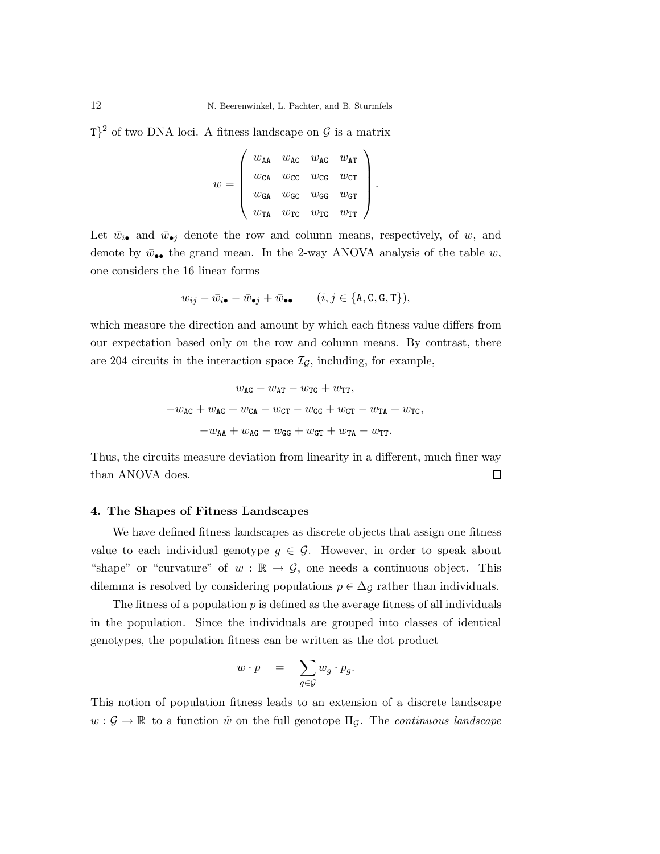$T$ <sup>2</sup> of two DNA loci. A fitness landscape on  $\mathcal G$  is a matrix

$$
w = \left(\begin{array}{cccc} w_{\tt AA} & w_{\tt AC} & w_{\tt AG} & w_{\tt AT} \\ w_{\tt CA} & w_{\tt CC} & w_{\tt CG} & w_{\tt CT} \\ w_{\tt GA} & w_{\tt GC} & w_{\tt GG} & w_{\tt GT} \\ w_{\tt TA} & w_{\tt TC} & w_{\tt TG} & w_{\tt TT} \end{array}\right).
$$

Let  $\bar{w}_{i\bullet}$  and  $\bar{w}_{\bullet j}$  denote the row and column means, respectively, of w, and denote by  $\bar{w}_{\bullet\bullet}$  the grand mean. In the 2-way ANOVA analysis of the table w, one considers the 16 linear forms

$$
w_{ij} - \bar{w}_{i\bullet} - \bar{w}_{\bullet j} + \bar{w}_{\bullet \bullet} \qquad (i, j \in \{A, C, G, T\}),
$$

which measure the direction and amount by which each fitness value differs from our expectation based only on the row and column means. By contrast, there are 204 circuits in the interaction space  $\mathcal{I}_{\mathcal{G}}$ , including, for example,

$$
w_{\text{AG}} - w_{\text{AT}} - w_{\text{TG}} + w_{\text{TT}},
$$
  

$$
-w_{\text{AG}} + w_{\text{AG}} + w_{\text{CA}} - w_{\text{CT}} - w_{\text{GG}} + w_{\text{GT}} - w_{\text{TA}} + w_{\text{TC}},
$$
  

$$
-w_{\text{AA}} + w_{\text{AG}} - w_{\text{GG}} + w_{\text{GT}} + w_{\text{TA}} - w_{\text{TT}}.
$$

Thus, the circuits measure deviation from linearity in a different, much finer way than ANOVA does.  $\Box$ 

### 4. The Shapes of Fitness Landscapes

We have defined fitness landscapes as discrete objects that assign one fitness value to each individual genotype  $g \in \mathcal{G}$ . However, in order to speak about "shape" or "curvature" of  $w : \mathbb{R} \to \mathcal{G}$ , one needs a continuous object. This dilemma is resolved by considering populations  $p \in \Delta_{\mathcal{G}}$  rather than individuals.

The fitness of a population  $p$  is defined as the average fitness of all individuals in the population. Since the individuals are grouped into classes of identical genotypes, the population fitness can be written as the dot product

$$
w \cdot p = \sum_{g \in \mathcal{G}} w_g \cdot p_g.
$$

This notion of population fitness leads to an extension of a discrete landscape  $w: \mathcal{G} \to \mathbb{R}$  to a function  $\tilde{w}$  on the full genotope  $\Pi_{\mathcal{G}}$ . The *continuous landscape*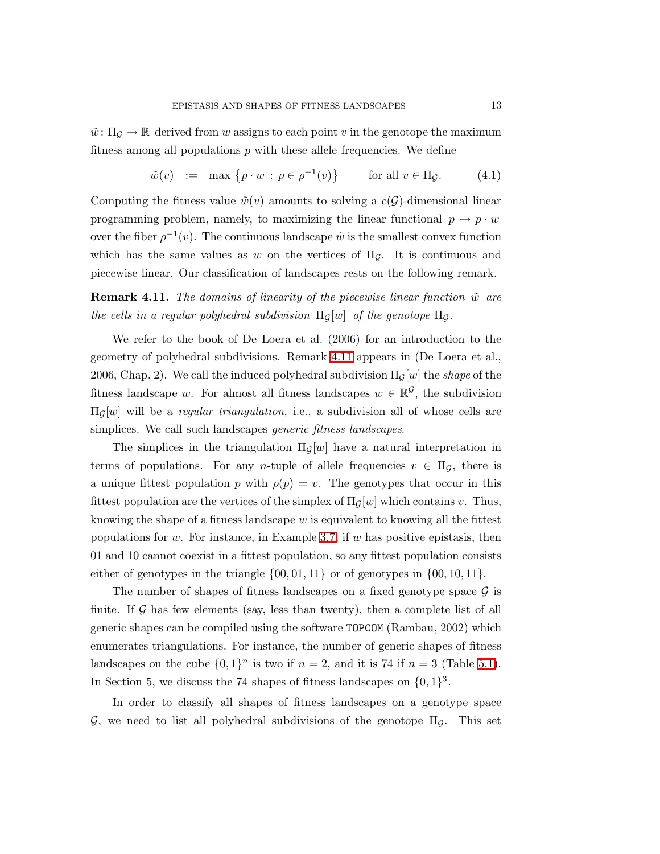$\tilde{w}: \Pi_{\mathcal{G}} \to \mathbb{R}$  derived from w assigns to each point v in the genotope the maximum fitness among all populations  $p$  with these allele frequencies. We define

$$
\tilde{w}(v) := \max \left\{ p \cdot w : p \in \rho^{-1}(v) \right\} \qquad \text{for all } v \in \Pi_{\mathcal{G}}.\tag{4.1}
$$

Computing the fitness value  $\tilde{w}(v)$  amounts to solving a  $c(\mathcal{G})$ -dimensional linear programming problem, namely, to maximizing the linear functional  $p \mapsto p \cdot w$ over the fiber  $\rho^{-1}(v)$ . The continuous landscape  $\tilde{w}$  is the smallest convex function which has the same values as w on the vertices of  $\Pi$ <sub>*G*</sub>. It is continuous and piecewise linear. Our classification of landscapes rests on the following remark.

<span id="page-12-0"></span>**Remark 4.11.** *The domains of linearity of the piecewise linear function*  $\tilde{w}$  *are the cells in a regular polyhedral subdivision*  $\Pi_G[w]$  *of the genotope*  $\Pi_G$ .

We refer to the book of De Loera et al. (2006) for an introduction to the geometry of polyhedral subdivisions. Remark [4.11](#page-12-0) appears in (De Loera et al., 2006, Chap. 2). We call the induced polyhedral subdivision  $\Pi_{\mathcal{G}}[w]$  the *shape* of the fitness landscape w. For almost all fitness landscapes  $w \in \mathbb{R}^{\mathcal{G}}$ , the subdivision  $\Pi_G[w]$  will be a *regular triangulation*, i.e., a subdivision all of whose cells are simplices. We call such landscapes *generic fitness landscapes*.

The simplices in the triangulation  $\Pi_G[w]$  have a natural interpretation in terms of populations. For any *n*-tuple of allele frequencies  $v \in \Pi_{\mathcal{G}}$ , there is a unique fittest population p with  $\rho(p) = v$ . The genotypes that occur in this fittest population are the vertices of the simplex of  $\Pi_G[w]$  which contains v. Thus, knowing the shape of a fitness landscape  $w$  is equivalent to knowing all the fittest populations for w. For instance, in Example [3.7,](#page-7-0) if  $w$  has positive epistasis, then 01 and 10 cannot coexist in a fittest population, so any fittest population consists either of genotypes in the triangle  $\{00, 01, 11\}$  or of genotypes in  $\{00, 10, 11\}$ .

The number of shapes of fitness landscapes on a fixed genotype space  $\mathcal G$  is finite. If  $\mathcal G$  has few elements (say, less than twenty), then a complete list of all generic shapes can be compiled using the software TOPCOM (Rambau, 2002) which enumerates triangulations. For instance, the number of generic shapes of fitness landscapes on the cube  $\{0,1\}^n$  is two if  $n=2$ , and it is 74 if  $n=3$  (Table [5.1\)](#page-16-0). In Section 5, we discuss the 74 shapes of fitness landscapes on  $\{0,1\}^3$ .

In order to classify all shapes of fitness landscapes on a genotype space G, we need to list all polyhedral subdivisions of the genotope ΠG. This set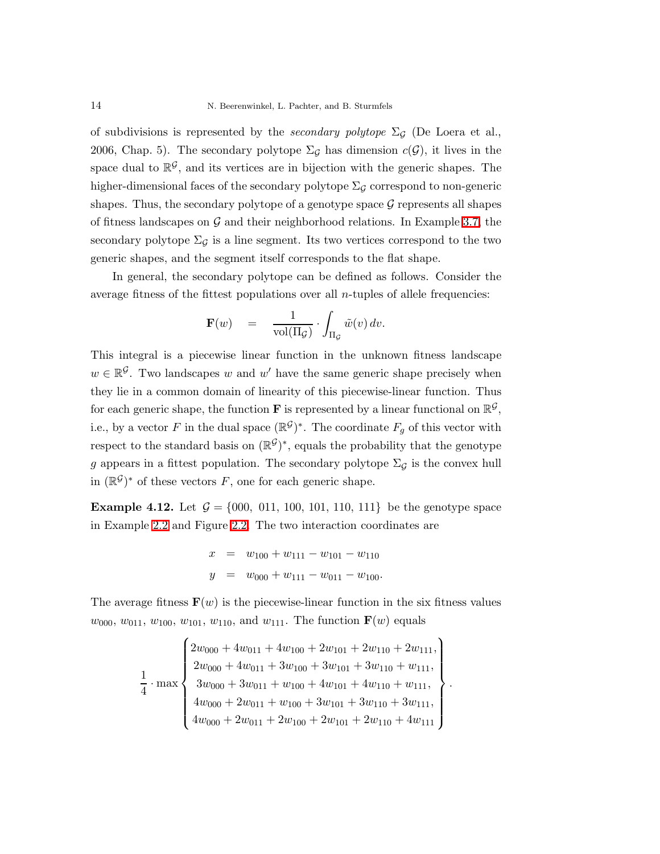of subdivisions is represented by the *secondary polytope*  $\Sigma_G$  (De Loera et al., 2006, Chap. 5). The secondary polytope  $\Sigma_{\mathcal{G}}$  has dimension  $c(\mathcal{G})$ , it lives in the space dual to  $\mathbb{R}^{\mathcal{G}}$ , and its vertices are in bijection with the generic shapes. The higher-dimensional faces of the secondary polytope  $\Sigma_{\mathcal{G}}$  correspond to non-generic shapes. Thus, the secondary polytope of a genotype space  $\mathcal G$  represents all shapes of fitness landscapes on  $\mathcal G$  and their neighborhood relations. In Example [3.7,](#page-7-0) the secondary polytope  $\Sigma_{\mathcal{G}}$  is a line segment. Its two vertices correspond to the two generic shapes, and the segment itself corresponds to the flat shape.

In general, the secondary polytope can be defined as follows. Consider the average fitness of the fittest populations over all n-tuples of allele frequencies:

$$
\mathbf{F}(w) = \frac{1}{\text{vol}(\Pi_{\mathcal{G}})} \cdot \int_{\Pi_{\mathcal{G}}} \tilde{w}(v) dv.
$$

This integral is a piecewise linear function in the unknown fitness landscape  $w \in \mathbb{R}^{\mathcal{G}}$ . Two landscapes w and w' have the same generic shape precisely when they lie in a common domain of linearity of this piecewise-linear function. Thus for each generic shape, the function **F** is represented by a linear functional on  $\mathbb{R}^{\mathcal{G}}$ , i.e., by a vector F in the dual space  $(\mathbb{R}^{\mathcal{G}})^*$ . The coordinate  $F_g$  of this vector with respect to the standard basis on  $(\mathbb{R}^{\mathcal{G}})^*$ , equals the probability that the genotype g appears in a fittest population. The secondary polytope  $\Sigma_G$  is the convex hull in  $(\mathbb{R}^{\mathcal{G}})^*$  of these vectors F, one for each generic shape.

<span id="page-13-0"></span>**Example 4.12.** Let  $\mathcal{G} = \{000, 011, 100, 101, 110, 111\}$  be the genotype space in Example [2.2](#page-3-2) and Figure [2.2.](#page-3-1) The two interaction coordinates are

$$
x = w_{100} + w_{111} - w_{101} - w_{110}
$$
  

$$
y = w_{000} + w_{111} - w_{011} - w_{100}.
$$

The average fitness  $\mathbf{F}(w)$  is the piecewise-linear function in the six fitness values  $w_{000}, w_{011}, w_{100}, w_{101}, w_{110}, \text{ and } w_{111}.$  The function  $\mathbf{F}(w)$  equals

$$
\frac{1}{4} \cdot \max \left\{\begin{array}{l} 2w_{000} + 4w_{011} + 4w_{100} + 2w_{101} + 2w_{110} + 2w_{111}, \\ 2w_{000} + 4w_{011} + 3w_{100} + 3w_{101} + 3w_{110} + w_{111}, \\ 3w_{000} + 3w_{011} + w_{100} + 4w_{101} + 4w_{110} + w_{111}, \\ 4w_{000} + 2w_{011} + w_{100} + 3w_{101} + 3w_{110} + 3w_{111}, \\ 4w_{000} + 2w_{011} + 2w_{100} + 2w_{101} + 2w_{110} + 4w_{111} \end{array}\right\}.
$$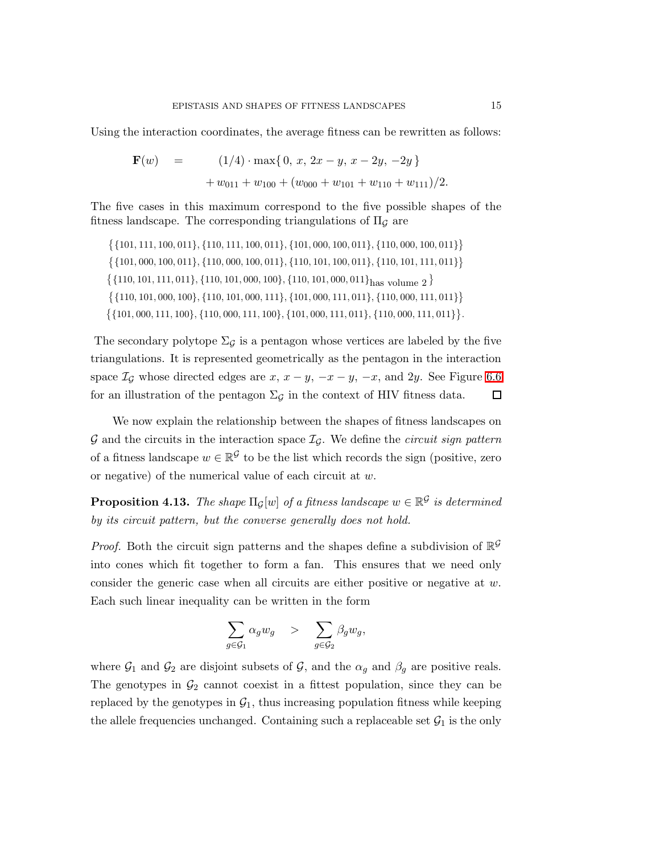Using the interaction coordinates, the average fitness can be rewritten as follows:

$$
\mathbf{F}(w) = (1/4) \cdot \max\{0, x, 2x - y, x - 2y, -2y\}
$$
  
+  $w_{011} + w_{100} + (w_{000} + w_{101} + w_{110} + w_{111})/2.$ 

The five cases in this maximum correspond to the five possible shapes of the fitness landscape. The corresponding triangulations of  $\Pi_{\mathcal{G}}$  are

 $\{\{101, 111, 100, 011\}, \{110, 111, 100, 011\}, \{101, 000, 100, 011\}, \{110, 000, 100, 011\}\}$  $\{\{101, 000, 100, 011\}, \{110, 000, 100, 011\}, \{110, 101, 100, 011\}, \{110, 101, 111, 011\}\}$  $\{\{110, 101, 111, 011\}, \{110, 101, 000, 100\}, \{110, 101, 000, 011\}_{\text{has volume } 2}\}$  $\{\{110, 101, 000, 100\}, \{110, 101, 000, 111\}, \{101, 000, 111, 011\}, \{110, 000, 111, 011\}\}$  $\{\{101, 000, 111, 100\}, \{110, 000, 111, 100\}, \{101, 000, 111, 011\}, \{110, 000, 111, 011\}\}.$ 

The secondary polytope  $\Sigma_{\mathcal{G}}$  is a pentagon whose vertices are labeled by the five triangulations. It is represented geometrically as the pentagon in the interaction space  $\mathcal{I}_{\mathcal{G}}$  whose directed edges are  $x, x - y, -x - y, -x$ , and 2y. See Figure [6.6](#page-23-0) for an illustration of the pentagon  $\Sigma_{\mathcal{G}}$  in the context of HIV fitness data.  $\Box$ 

We now explain the relationship between the shapes of fitness landscapes on  $\mathcal G$  and the circuits in the interaction space  $\mathcal I_G$ . We define the *circuit sign pattern* of a fitness landscape  $w \in \mathbb{R}^{\mathcal{G}}$  to be the list which records the sign (positive, zero or negative) of the numerical value of each circuit at w.

<span id="page-14-0"></span> $\bf{Proposition 4.13.}$  *The shape*  $\Pi_G[w]$  of a fitness landscape  $w \in \mathbb{R}^{\mathcal{G}}$  is determined *by its circuit pattern, but the converse generally does not hold.*

*Proof.* Both the circuit sign patterns and the shapes define a subdivision of  $\mathbb{R}^{\mathcal{G}}$ into cones which fit together to form a fan. This ensures that we need only consider the generic case when all circuits are either positive or negative at  $w$ . Each such linear inequality can be written in the form

$$
\sum_{g\in \mathcal{G}_1} \alpha_g w_g \quad > \quad \sum_{g\in \mathcal{G}_2} \beta_g w_g,
$$

where  $\mathcal{G}_1$  and  $\mathcal{G}_2$  are disjoint subsets of  $\mathcal{G}$ , and the  $\alpha_g$  and  $\beta_g$  are positive reals. The genotypes in  $\mathcal{G}_2$  cannot coexist in a fittest population, since they can be replaced by the genotypes in  $\mathcal{G}_1$ , thus increasing population fitness while keeping the allele frequencies unchanged. Containing such a replaceable set  $\mathcal{G}_1$  is the only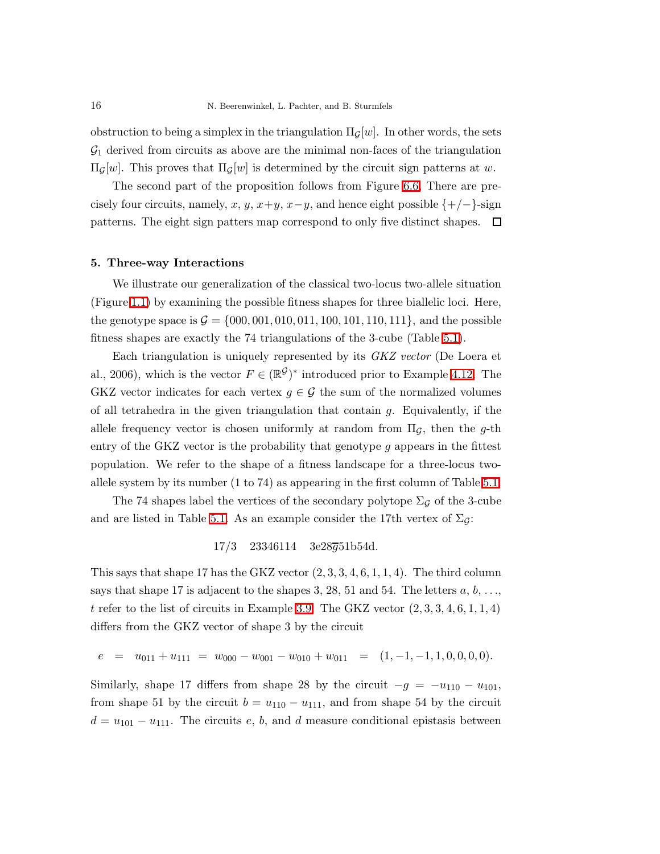obstruction to being a simplex in the triangulation  $\Pi_G[w]$ . In other words, the sets  $\mathcal{G}_1$  derived from circuits as above are the minimal non-faces of the triangulation  $\Pi$ <sub>*G*</sub>[*w*]. This proves that  $\Pi$ <sub>*G*</sub>[*w*] is determined by the circuit sign patterns at *w*.

The second part of the proposition follows from Figure [6.6,](#page-23-0) There are precisely four circuits, namely, x, y, x+y, x−y, and hence eight possible  $\{+/-\}$ -sign patterns. The eight sign patters map correspond to only five distinct shapes.  $\Box$ 

#### 5. Three-way Interactions

We illustrate our generalization of the classical two-locus two-allele situation (Figure [1.1\)](#page-1-0) by examining the possible fitness shapes for three biallelic loci. Here, the genotype space is  $G = \{000, 001, 010, 011, 100, 101, 110, 111\}$ , and the possible fitness shapes are exactly the 74 triangulations of the 3-cube (Table [5.1\)](#page-16-0).

Each triangulation is uniquely represented by its *GKZ vector* (De Loera et al., 2006), which is the vector  $F \in (\mathbb{R}^{\mathcal{G}})^*$  introduced prior to Example [4.12.](#page-13-0) The GKZ vector indicates for each vertex  $q \in \mathcal{G}$  the sum of the normalized volumes of all tetrahedra in the given triangulation that contain  $q$ . Equivalently, if the allele frequency vector is chosen uniformly at random from  $\Pi_{\mathcal{G}}$ , then the g-th entry of the GKZ vector is the probability that genotype  $g$  appears in the fittest population. We refer to the shape of a fitness landscape for a three-locus twoallele system by its number (1 to 74) as appearing in the first column of Table [5.1.](#page-16-0)

The 74 shapes label the vertices of the secondary polytope  $\Sigma_{\mathcal{G}}$  of the 3-cube and are listed in Table [5.1.](#page-16-0) As an example consider the 17th vertex of  $\Sigma_{\mathcal{G}}$ :

 $17/3$  23346114 3e28 $\overline{q}$ 51b54d.

This says that shape 17 has the GKZ vector  $(2, 3, 3, 4, 6, 1, 1, 4)$ . The third column says that shape 17 is adjacent to the shapes 3, 28, 51 and 54. The letters  $a, b, \ldots$ , t refer to the list of circuits in Example [3.9.](#page-8-0) The GKZ vector  $(2, 3, 3, 4, 6, 1, 1, 4)$ differs from the GKZ vector of shape 3 by the circuit

$$
e = u_{011} + u_{111} = w_{000} - w_{001} - w_{010} + w_{011} = (1, -1, -1, 1, 0, 0, 0, 0).
$$

Similarly, shape 17 differs from shape 28 by the circuit  $-g = -u_{110} - u_{101}$ , from shape 51 by the circuit  $b = u_{110} - u_{111}$ , and from shape 54 by the circuit  $d = u_{101} - u_{111}$ . The circuits e, b, and d measure conditional epistasis between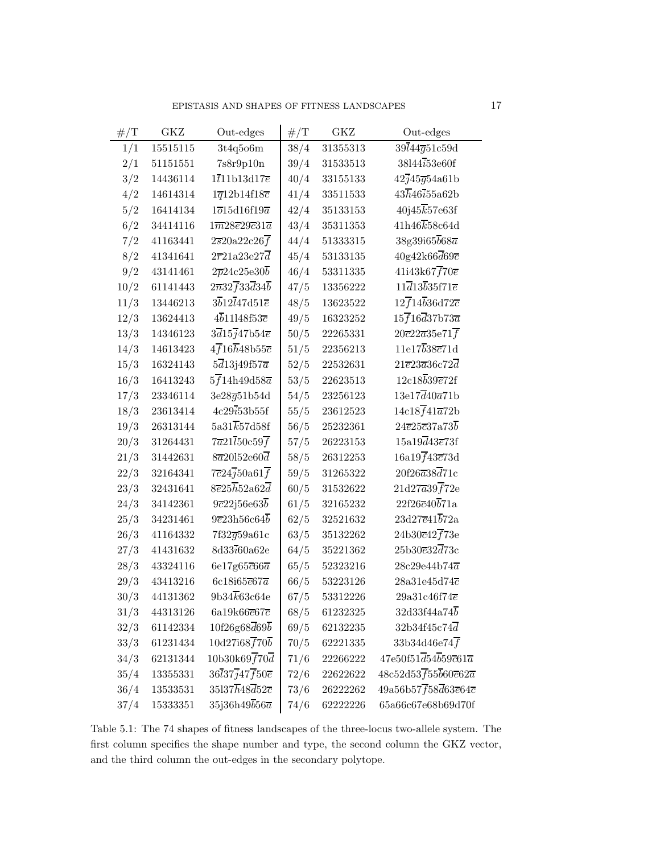| $\#/{\rm T}$ | GKZ      | Out-edges                                                  | $\#/{\cal T}$ | GKZ      | Out-edges                                                        |
|--------------|----------|------------------------------------------------------------|---------------|----------|------------------------------------------------------------------|
| 1/1          | 15515115 | 3t4q5o6m                                                   | 38/4          | 31355313 | $39\bar{l}44\bar{g}51c59d$                                       |
| 2/1          | 51151551 | 7s8r9p10n                                                  | 39/4          | 31533513 | 38l44i53e60f                                                     |
| 3/2          | 14436114 | $1\overline{t}$ 11b13d17 $\overline{e}$                    | 40/4          | 33155133 | $42\overline{j}45\overline{g}54a61b$                             |
| 4/2          | 14614314 | $1\overline{q}$ 12b14f18 $\overline{c}$                    | 41/4          | 33511533 | $43\overline{h}46i55a62b$                                        |
| 5/2          | 16414134 | $1\overline{o}15d16f19\overline{a}$                        | 42/4          | 35133153 | 40j45k57e63f                                                     |
| 6/2          | 34414116 | $1\overline{m}28\overline{e}29\overline{c}31\overline{a}$  | 43/4          | 35311353 | $41h46\overline{k}58c64d$                                        |
| 7/2          | 41163441 | $2\overline{s}20a22c26\overline{f}$                        | 44/4          | 51333315 | 38g39i65b68a                                                     |
| 8/2          | 41341641 | $2\overline{r}21a23e27\overline{d}$                        | 45/4          | 53133135 | $40g42k66\overline{d}69\overline{c}$                             |
| 9/2          | 43141461 | $2\overline{p}24c25e30\overline{b}$                        | 46/4          | 53311335 | $41i43k67f70\overline{e}$                                        |
| 10/2         | 61141443 | $2\overline{n}32\overline{f}33\overline{d}34\overline{b}$  | 47/5          | 13356222 | $11\overline{d}13\overline{b}35f71\overline{e}$                  |
| 11/3         | 13446213 | $3\overline{b}12\overline{l}47\overline{d}51\overline{e}$  | 48/5          | 13623522 | $12\overline{f}14\overline{b}36d72c$                             |
| 12/3         | 13624413 | $4\overline{b}$ 11148f53 $\overline{c}$                    | 49/5          | 16323252 | $15\overline{f}16\overline{d}37$ b73 $\overline{a}$              |
| 13/3         | 14346123 | $3\overline{d}$ 15 $\overline{j}$ 47b54 $\overline{e}$     | 50/5          | 22265331 | $20\overline{c}22\overline{a}35e71\overline{f}$                  |
| 14/3         | 14613423 | $4\overline{f}16\overline{h}48\mathrm{b}55\overline{c}$    | 51/5          | 22356213 | 11e17b38c71d                                                     |
| 15/3         | 16324143 | $5\overline{d}$ 13j49f57 $\overline{a}$                    | 52/5          | 22532631 | $21\overline{e}23\overline{a}36c72\overline{d}$                  |
| 16/3         | 16413243 | $5\overline{f}$ 14h49d58 $\overline{a}$                    | 53/5          | 22623513 | $12c18\overline{b}39\overline{e}72f$                             |
| 17/3         | 23346114 | $3e28\overline{g}51b54d$                                   | 54/5          | 23256123 | $13e17\overline{d}40\overline{a}71b$                             |
| 18/3         | 23613414 | 4c29i53b55f                                                | 55/5          | 23612523 | $14c18f41\overline{a}72b$                                        |
| 19/3         | 26313144 | $5a31\overline{k}57d58f$                                   | 56/5          | 25232361 | $24\overline{e}25\overline{c}37\overline{a}73\overline{b}$       |
| 20/3         | 31264431 | $7\overline{a}21\overline{l}50c59\overline{f}$             | 57/5          | 26223153 | $15a19\overline{d}43\overline{e}73f$                             |
| 21/3         | 31442631 | $8\overline{a}20152e60\overline{d}$                        | 58/5          | 26312253 | 16a19f43c73d                                                     |
| 22/3         | 32164341 | $7\overline{c}24\overline{j}50a61\overline{f}$             | 59/5          | 31265322 | $20f26\overline{a}38\overline{d}71c$                             |
| 23/3         | 32431641 | $8\overline{e}25\overline{h}52a62\overline{d}$             | 60/5          | 31532622 | $21d27\overline{a}39\overline{f}72e$                             |
| $24/3\,$     | 34142361 | $9\overline{c}22\overline{c}56\overline{e}63\overline{b}$  | 61/5          | 32165232 | $22f26\overline{c}40\overline{b}71a$                             |
| 25/3         | 34231461 | $9\overline{e}23h56c64\overline{b}$                        | 62/5          | 32521632 | $23d27\overline{e}41\overline{b}72a$                             |
| 26/3         | 41164332 | 7f32 <del>g</del> 59a61c                                   | 63/5          | 35132262 | $24b30\overline{c}42\overline{f}73e$                             |
| 27/3         | 41431632 | 8d33i60a62e                                                | 64/5          | 35221362 | $25b30e32\overline{d}73c$                                        |
| 28/3         | 43324116 | 6e17g65 $\overline{c}$ 66 $\overline{a}$                   | 65/5          | 52323216 | $28c29e44b74\overline{a}$                                        |
| 29/3         | 43413216 | $6c18i65\overline{e}67\overline{a}$                        | 66/5          | 53223126 | $28a31e45d74\overline{c}$                                        |
| 30/3         | 44131362 | $9b34\overline{k}63c64e$                                   | 67/5          | 53312226 | $29a31c46f74\overline{e}$                                        |
| 31/3         | 44313126 | 6a19k66e67c                                                | 68/5          | 61232325 | 32d33f44a74b                                                     |
| 32/3         | 61142334 | $10f26g68\overline{d}69\overline{b}$                       | 69/5          | 62132235 | $32b34f45c74\overline{d}$                                        |
| 33/3         | 61231434 | 10d27i68f70b                                               | 70/5          | 62221335 | 33b34d46e74 $\overline{f}$                                       |
| 34/3         | 62131344 | 10b30k69f70d                                               | 71/6          | 22266222 | $47e50f51\overline{d}54\overline{b}59c61\overline{a}$            |
| 35/4         | 13355331 | $36\overline{l}37\overline{j}47\overline{f}50\overline{e}$ | 72/6          | 22622622 | $48c52d53f55\overline{b}60\overline{e}62\overline{a}$            |
| $36/4\,$     | 13533531 | $35137\overline{h}48\overline{d}52\overline{c}$            | 73/6          | 26222262 | $49a56b57\overline{f}58\overline{d}63\overline{e}64\overline{c}$ |
| 37/4         | 15333351 | $35j36h49\overline{b}56\overline{a}$                       | 74/6          | 62222226 | 65a66c67e68b69d70f                                               |

<span id="page-16-0"></span>Table 5.1: The 74 shapes of fitness landscapes of the three-locus two-allele system. The first column specifies the shape number and type, the second column the GKZ vector, and the third column the out-edges in the secondary polytope.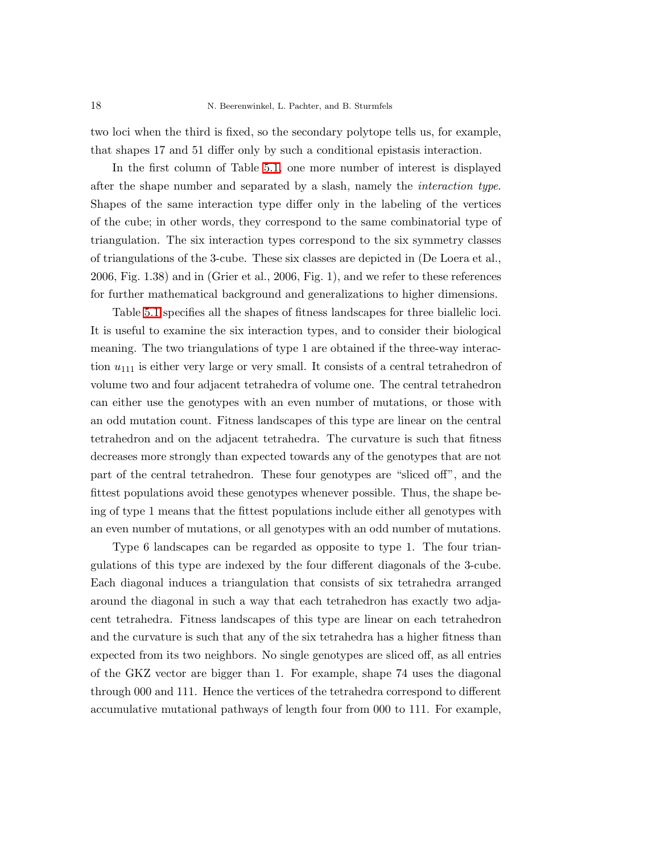two loci when the third is fixed, so the secondary polytope tells us, for example, that shapes 17 and 51 differ only by such a conditional epistasis interaction.

In the first column of Table [5.1,](#page-16-0) one more number of interest is displayed after the shape number and separated by a slash, namely the *interaction type*. Shapes of the same interaction type differ only in the labeling of the vertices of the cube; in other words, they correspond to the same combinatorial type of triangulation. The six interaction types correspond to the six symmetry classes of triangulations of the 3-cube. These six classes are depicted in (De Loera et al., 2006, Fig. 1.38) and in (Grier et al., 2006, Fig. 1), and we refer to these references for further mathematical background and generalizations to higher dimensions.

Table [5.1](#page-16-0) specifies all the shapes of fitness landscapes for three biallelic loci. It is useful to examine the six interaction types, and to consider their biological meaning. The two triangulations of type 1 are obtained if the three-way interaction  $u_{111}$  is either very large or very small. It consists of a central tetrahedron of volume two and four adjacent tetrahedra of volume one. The central tetrahedron can either use the genotypes with an even number of mutations, or those with an odd mutation count. Fitness landscapes of this type are linear on the central tetrahedron and on the adjacent tetrahedra. The curvature is such that fitness decreases more strongly than expected towards any of the genotypes that are not part of the central tetrahedron. These four genotypes are "sliced off", and the fittest populations avoid these genotypes whenever possible. Thus, the shape being of type 1 means that the fittest populations include either all genotypes with an even number of mutations, or all genotypes with an odd number of mutations.

Type 6 landscapes can be regarded as opposite to type 1. The four triangulations of this type are indexed by the four different diagonals of the 3-cube. Each diagonal induces a triangulation that consists of six tetrahedra arranged around the diagonal in such a way that each tetrahedron has exactly two adjacent tetrahedra. Fitness landscapes of this type are linear on each tetrahedron and the curvature is such that any of the six tetrahedra has a higher fitness than expected from its two neighbors. No single genotypes are sliced off, as all entries of the GKZ vector are bigger than 1. For example, shape 74 uses the diagonal through 000 and 111. Hence the vertices of the tetrahedra correspond to different accumulative mutational pathways of length four from 000 to 111. For example,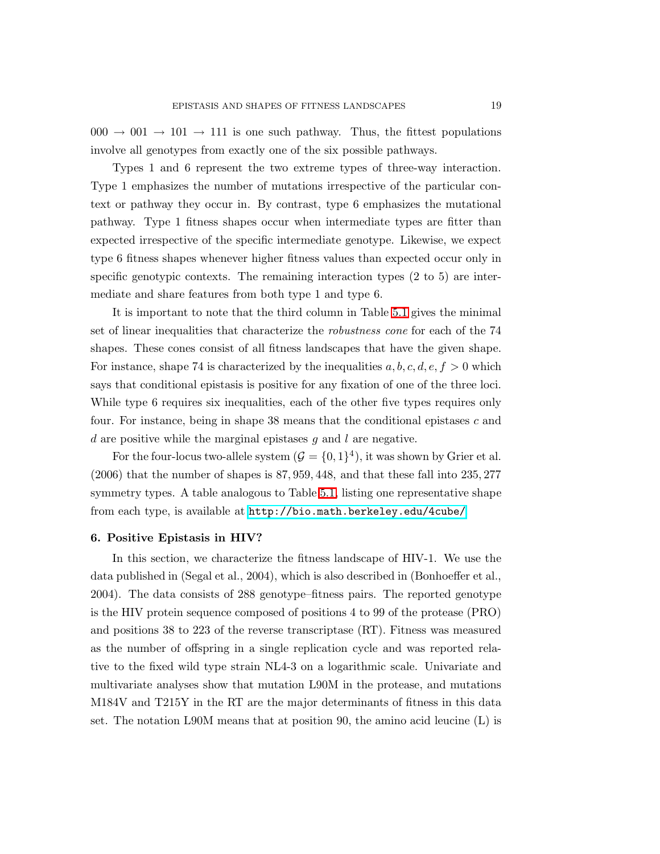$000 \rightarrow 001 \rightarrow 101 \rightarrow 111$  is one such pathway. Thus, the fittest populations involve all genotypes from exactly one of the six possible pathways.

Types 1 and 6 represent the two extreme types of three-way interaction. Type 1 emphasizes the number of mutations irrespective of the particular context or pathway they occur in. By contrast, type 6 emphasizes the mutational pathway. Type 1 fitness shapes occur when intermediate types are fitter than expected irrespective of the specific intermediate genotype. Likewise, we expect type 6 fitness shapes whenever higher fitness values than expected occur only in specific genotypic contexts. The remaining interaction types (2 to 5) are intermediate and share features from both type 1 and type 6.

It is important to note that the third column in Table [5.1](#page-16-0) gives the minimal set of linear inequalities that characterize the *robustness cone* for each of the 74 shapes. These cones consist of all fitness landscapes that have the given shape. For instance, shape 74 is characterized by the inequalities  $a, b, c, d, e, f > 0$  which says that conditional epistasis is positive for any fixation of one of the three loci. While type 6 requires six inequalities, each of the other five types requires only four. For instance, being in shape  $38$  means that the conditional epistases c and d are positive while the marginal epistases  $g$  and  $l$  are negative.

For the four-locus two-allele system  $(\mathcal{G} = \{0,1\}^4)$ , it was shown by Grier et al. (2006) that the number of shapes is 87, 959, 448, and that these fall into 235, 277 symmetry types. A table analogous to Table [5.1,](#page-16-0) listing one representative shape from each type, is available at <http://bio.math.berkeley.edu/4cube/>.

### 6. Positive Epistasis in HIV?

In this section, we characterize the fitness landscape of HIV-1. We use the data published in (Segal et al., 2004), which is also described in (Bonhoeffer et al., 2004). The data consists of 288 genotype–fitness pairs. The reported genotype is the HIV protein sequence composed of positions 4 to 99 of the protease (PRO) and positions 38 to 223 of the reverse transcriptase (RT). Fitness was measured as the number of offspring in a single replication cycle and was reported relative to the fixed wild type strain NL4-3 on a logarithmic scale. Univariate and multivariate analyses show that mutation L90M in the protease, and mutations M184V and T215Y in the RT are the major determinants of fitness in this data set. The notation L90M means that at position 90, the amino acid leucine (L) is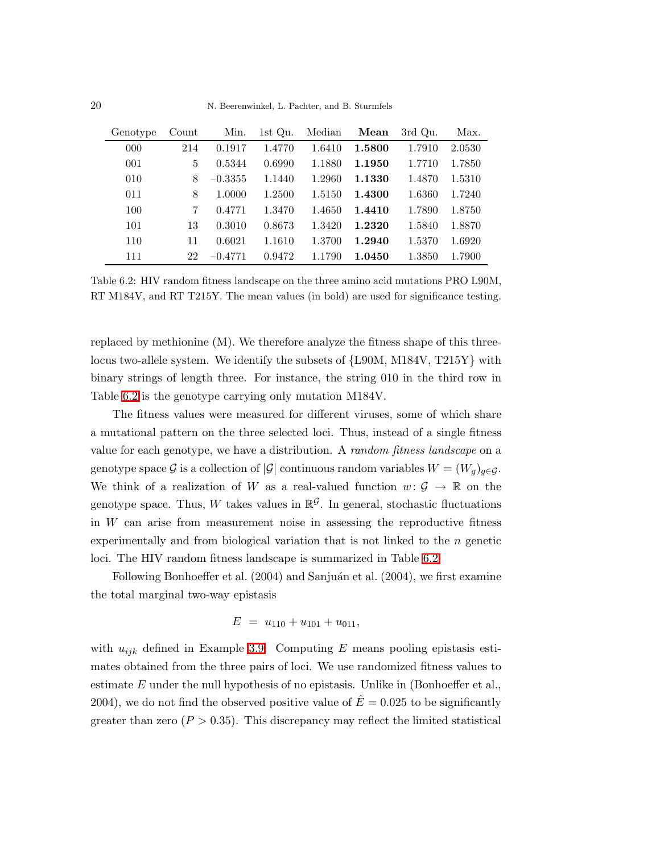| Genotype | Count | Min.      | 1st Qu. | Median | Mean   | 3rd Qu. | Max.   |
|----------|-------|-----------|---------|--------|--------|---------|--------|
| 000      | 214   | 0.1917    | 1.4770  | 1.6410 | 1.5800 | 1.7910  | 2.0530 |
| 001      | 5     | 0.5344    | 0.6990  | 1.1880 | 1.1950 | 1.7710  | 1.7850 |
| 010      | 8     | $-0.3355$ | 1.1440  | 1.2960 | 1.1330 | 1.4870  | 1.5310 |
| 011      | 8     | 1.0000    | 1.2500  | 1.5150 | 1.4300 | 1.6360  | 1.7240 |
| 100      | 7     | 0.4771    | 1.3470  | 1.4650 | 1.4410 | 1.7890  | 1.8750 |
| 101      | 13    | 0.3010    | 0.8673  | 1.3420 | 1.2320 | 1.5840  | 1.8870 |
| 110      | 11    | 0.6021    | 1.1610  | 1.3700 | 1.2940 | 1.5370  | 1.6920 |
| 111      | 22    | $-0.4771$ | 0.9472  | 1.1790 | 1.0450 | 1.3850  | 1.7900 |

<span id="page-19-0"></span>Table 6.2: HIV random fitness landscape on the three amino acid mutations PRO L90M, RT M184V, and RT T215Y. The mean values (in bold) are used for significance testing.

replaced by methionine (M). We therefore analyze the fitness shape of this threelocus two-allele system. We identify the subsets of {L90M, M184V, T215Y} with binary strings of length three. For instance, the string 010 in the third row in Table [6.2](#page-19-0) is the genotype carrying only mutation M184V.

The fitness values were measured for different viruses, some of which share a mutational pattern on the three selected loci. Thus, instead of a single fitness value for each genotype, we have a distribution. A *random fitness landscape* on a genotype space G is a collection of |G| continuous random variables  $W = (W_q)_{q \in G}$ . We think of a realization of W as a real-valued function  $w: \mathcal{G} \to \mathbb{R}$  on the genotype space. Thus, W takes values in  $\mathbb{R}^{\mathcal{G}}$ . In general, stochastic fluctuations in W can arise from measurement noise in assessing the reproductive fitness experimentally and from biological variation that is not linked to the n genetic loci. The HIV random fitness landscape is summarized in Table [6.2.](#page-19-0)

Following Bonhoeffer et al.  $(2004)$  and Sanjuán et al.  $(2004)$ , we first examine the total marginal two-way epistasis

$$
E = u_{110} + u_{101} + u_{011},
$$

with  $u_{ijk}$  defined in Example [3.9.](#page-8-0) Computing E means pooling epistasis estimates obtained from the three pairs of loci. We use randomized fitness values to estimate  $E$  under the null hypothesis of no epistasis. Unlike in (Bonhoeffer et al., 2004), we do not find the observed positive value of  $\hat{E} = 0.025$  to be significantly greater than zero  $(P > 0.35)$ . This discrepancy may reflect the limited statistical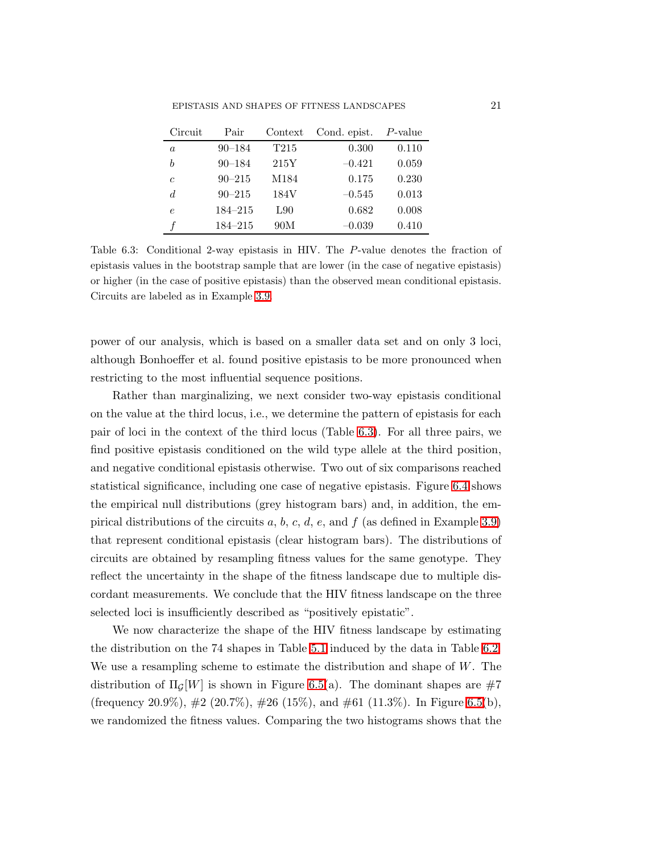| Circuit          | Pair        | Context          | Cond. epist. | $P$ -value |
|------------------|-------------|------------------|--------------|------------|
| $\boldsymbol{a}$ | $90 - 184$  | T <sub>215</sub> | 0.300        | 0.110      |
| b                | $90 - 184$  | 215Y             | $-0.421$     | 0.059      |
| $\mathfrak c$    | $90 - 215$  | M184             | 0.175        | 0.230      |
| d                | $90 - 215$  | 184V             | $-0.545$     | 0.013      |
| $\epsilon$       | $184 - 215$ | L90              | 0.682        | 0.008      |
|                  | $184 - 215$ | 90M              | $-0.039$     | 0.410      |

<span id="page-20-0"></span>Table 6.3: Conditional 2-way epistasis in HIV. The P-value denotes the fraction of epistasis values in the bootstrap sample that are lower (in the case of negative epistasis) or higher (in the case of positive epistasis) than the observed mean conditional epistasis. Circuits are labeled as in Example [3.9.](#page-8-0)

power of our analysis, which is based on a smaller data set and on only 3 loci, although Bonhoeffer et al. found positive epistasis to be more pronounced when restricting to the most influential sequence positions.

Rather than marginalizing, we next consider two-way epistasis conditional on the value at the third locus, i.e., we determine the pattern of epistasis for each pair of loci in the context of the third locus (Table [6.3\)](#page-20-0). For all three pairs, we find positive epistasis conditioned on the wild type allele at the third position, and negative conditional epistasis otherwise. Two out of six comparisons reached statistical significance, including one case of negative epistasis. Figure [6.4](#page-21-0) shows the empirical null distributions (grey histogram bars) and, in addition, the em-pirical distributions of the circuits a, b, c, d, e, and f (as defined in Example [3.9\)](#page-8-0) that represent conditional epistasis (clear histogram bars). The distributions of circuits are obtained by resampling fitness values for the same genotype. They reflect the uncertainty in the shape of the fitness landscape due to multiple discordant measurements. We conclude that the HIV fitness landscape on the three selected loci is insufficiently described as "positively epistatic".

We now characterize the shape of the HIV fitness landscape by estimating the distribution on the 74 shapes in Table [5.1](#page-16-0) induced by the data in Table [6.2.](#page-19-0) We use a resampling scheme to estimate the distribution and shape of  $W$ . The distribution of  $\Pi_G[W]$  is shown in Figure [6.5\(](#page-22-0)a). The dominant shapes are #7 (frequency 20.9%),  $\#2$  (20.7%),  $\#26$  (15%), and  $\#61$  (11.3%). In Figure [6.5\(](#page-22-0)b), we randomized the fitness values. Comparing the two histograms shows that the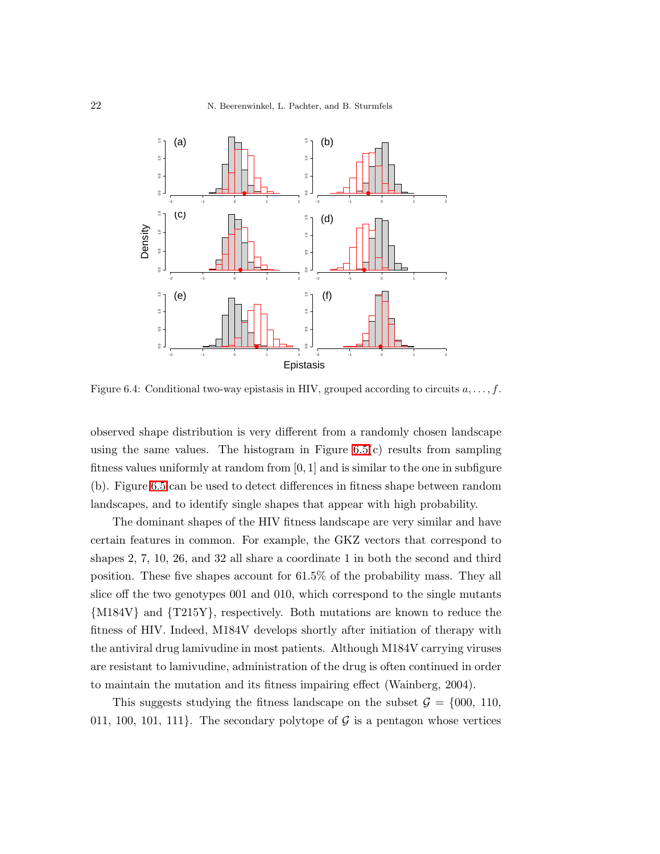

<span id="page-21-0"></span>Figure 6.4: Conditional two-way epistasis in HIV, grouped according to circuits  $a, \ldots, f$ .

observed shape distribution is very different from a randomly chosen landscape using the same values. The histogram in Figure  $6.5(c)$  results from sampling fitness values uniformly at random from  $[0, 1]$  and is similar to the one in subfigure (b). Figure [6.5](#page-22-0) can be used to detect differences in fitness shape between random landscapes, and to identify single shapes that appear with high probability.

The dominant shapes of the HIV fitness landscape are very similar and have certain features in common. For example, the GKZ vectors that correspond to shapes 2, 7, 10, 26, and 32 all share a coordinate 1 in both the second and third position. These five shapes account for 61.5% of the probability mass. They all slice off the two genotypes 001 and 010, which correspond to the single mutants {M184V} and {T215Y}, respectively. Both mutations are known to reduce the fitness of HIV. Indeed, M184V develops shortly after initiation of therapy with the antiviral drug lamivudine in most patients. Although M184V carrying viruses are resistant to lamivudine, administration of the drug is often continued in order to maintain the mutation and its fitness impairing effect (Wainberg, 2004).

This suggests studying the fitness landscape on the subset  $\mathcal{G} = \{000, 110,$ 011, 100, 101, 111. The secondary polytope of  $\mathcal G$  is a pentagon whose vertices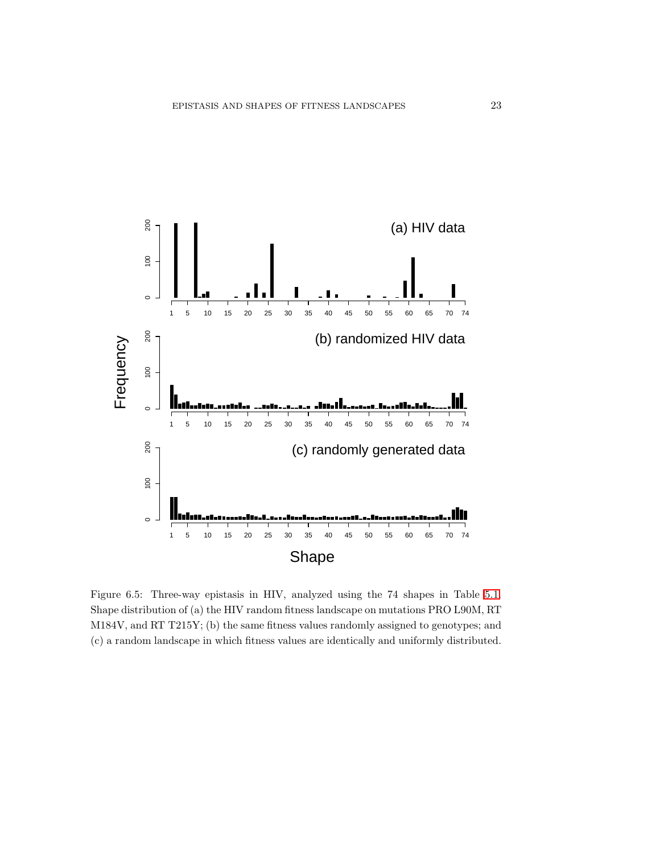

<span id="page-22-0"></span>Figure 6.5: Three-way epistasis in HIV, analyzed using the 74 shapes in Table [5.1.](#page-16-0) Shape distribution of (a) the HIV random fitness landscape on mutations PRO L90M, RT M184V, and RT T215Y; (b) the same fitness values randomly assigned to genotypes; and (c) a random landscape in which fitness values are identically and uniformly distributed.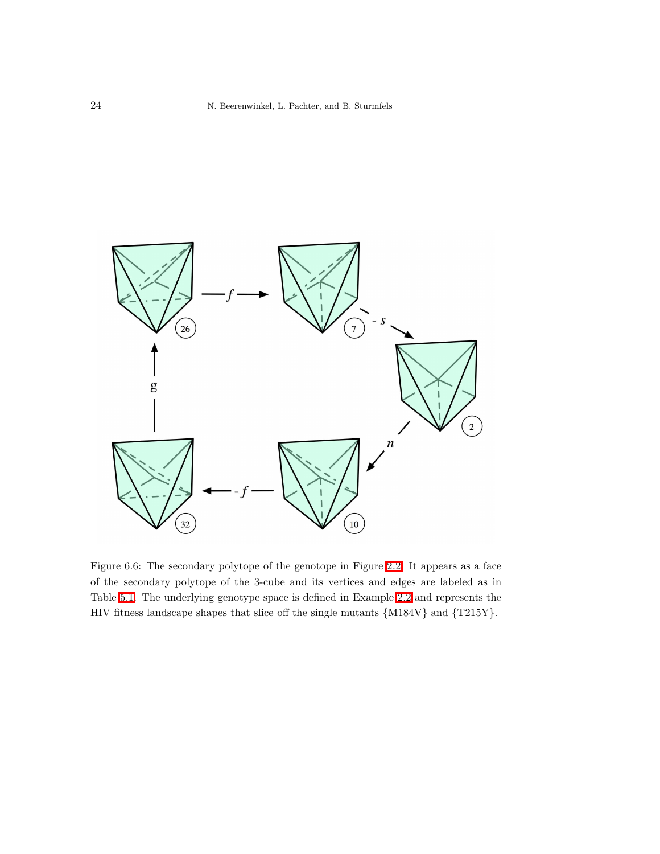

<span id="page-23-0"></span>Figure 6.6: The secondary polytope of the genotope in Figure [2.2.](#page-3-1) It appears as a face of the secondary polytope of the 3-cube and its vertices and edges are labeled as in Table [5.1.](#page-16-0) The underlying genotype space is defined in Example [2.2](#page-3-2) and represents the HIV fitness landscape shapes that slice off the single mutants {M184V} and {T215Y}.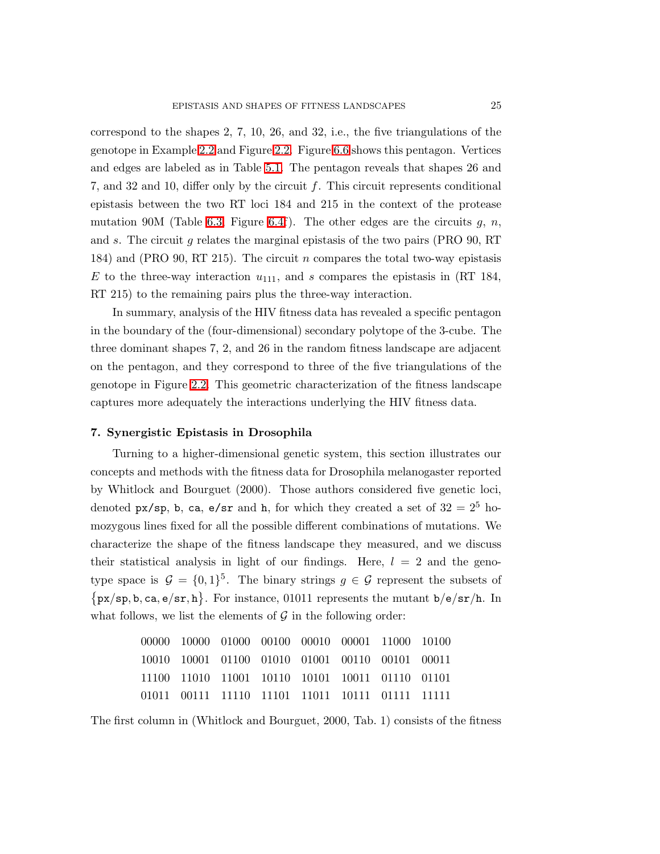correspond to the shapes 2, 7, 10, 26, and 32, i.e., the five triangulations of the genotope in Example [2.2](#page-3-2) and Figure [2.2.](#page-3-1) Figure [6.6](#page-23-0) shows this pentagon. Vertices and edges are labeled as in Table [5.1.](#page-16-0) The pentagon reveals that shapes 26 and 7, and 32 and 10, differ only by the circuit  $f$ . This circuit represents conditional epistasis between the two RT loci 184 and 215 in the context of the protease mutation 90M (Table [6.3,](#page-20-0) Figure [6.4f](#page-21-0)). The other edges are the circuits  $q, n$ , and s. The circuit g relates the marginal epistasis of the two pairs (PRO 90, RT 184) and (PRO 90, RT 215). The circuit n compares the total two-way epistasis  $E$  to the three-way interaction  $u_{111}$ , and s compares the epistasis in (RT 184, RT 215) to the remaining pairs plus the three-way interaction.

In summary, analysis of the HIV fitness data has revealed a specific pentagon in the boundary of the (four-dimensional) secondary polytope of the 3-cube. The three dominant shapes 7, 2, and 26 in the random fitness landscape are adjacent on the pentagon, and they correspond to three of the five triangulations of the genotope in Figure [2.2.](#page-3-1) This geometric characterization of the fitness landscape captures more adequately the interactions underlying the HIV fitness data.

### 7. Synergistic Epistasis in Drosophila

Turning to a higher-dimensional genetic system, this section illustrates our concepts and methods with the fitness data for Drosophila melanogaster reported by Whitlock and Bourguet (2000). Those authors considered five genetic loci, denoted px/sp, b, ca, e/sr and h, for which they created a set of  $32 = 2^5$  homozygous lines fixed for all the possible different combinations of mutations. We characterize the shape of the fitness landscape they measured, and we discuss their statistical analysis in light of our findings. Here,  $l = 2$  and the genotype space is  $\mathcal{G} = \{0,1\}^5$ . The binary strings  $g \in \mathcal{G}$  represent the subsets of  $\{px/sp, b, ca, e/sr, h\}$ . For instance, 01011 represents the mutant  $b/e/sr/h$ . In what follows, we list the elements of  $\mathcal G$  in the following order:

|  | 00000 10000 01000 00100 00010 00001 11000 10100 |  |  |  |
|--|-------------------------------------------------|--|--|--|
|  | 10010 10001 01100 01010 01001 00110 00101 00011 |  |  |  |
|  | 11100 11010 11001 10110 10101 10011 01110 01101 |  |  |  |
|  | 01011 00111 11110 11101 11011 10111 01111 11111 |  |  |  |

The first column in (Whitlock and Bourguet, 2000, Tab. 1) consists of the fitness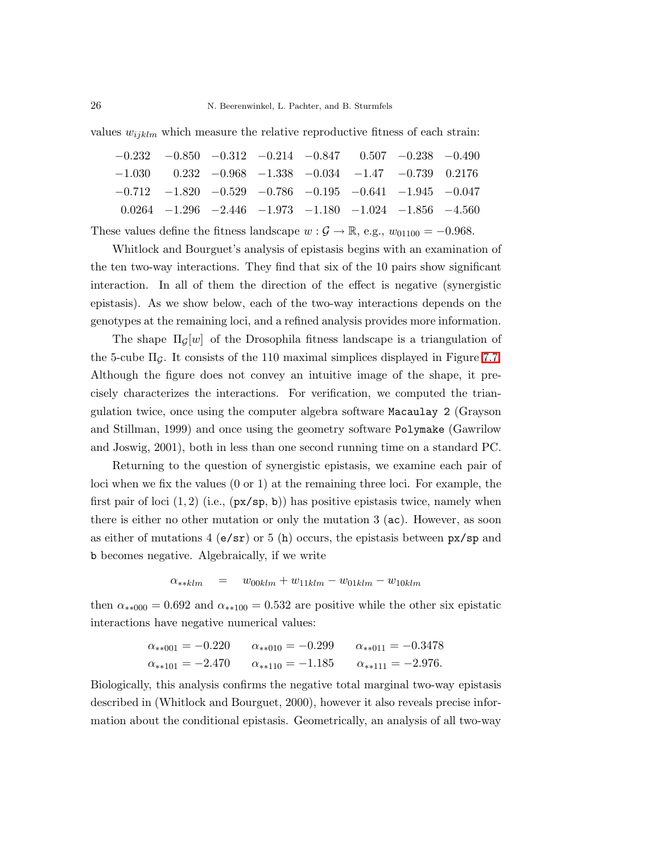values  $w_{ijklm}$  which measure the relative reproductive fitness of each strain:

|  |  | $-0.232$ $-0.850$ $-0.312$ $-0.214$ $-0.847$ $0.507$ $-0.238$ $-0.490$  |  |  |
|--|--|-------------------------------------------------------------------------|--|--|
|  |  | $-1.030$ $0.232$ $-0.968$ $-1.338$ $-0.034$ $-1.47$ $-0.739$ $0.2176$   |  |  |
|  |  | $-0.712$ $-1.820$ $-0.529$ $-0.786$ $-0.195$ $-0.641$ $-1.945$ $-0.047$ |  |  |
|  |  | $0.0264$ $-1.296$ $-2.446$ $-1.973$ $-1.180$ $-1.024$ $-1.856$ $-4.560$ |  |  |
|  |  |                                                                         |  |  |

These values define the fitness landscape  $w : \mathcal{G} \to \mathbb{R}$ , e.g.,  $w_{01100} = -0.968$ .

Whitlock and Bourguet's analysis of epistasis begins with an examination of the ten two-way interactions. They find that six of the 10 pairs show significant interaction. In all of them the direction of the effect is negative (synergistic epistasis). As we show below, each of the two-way interactions depends on the genotypes at the remaining loci, and a refined analysis provides more information.

The shape  $\Pi_G[w]$  of the Drosophila fitness landscape is a triangulation of the 5-cube  $\Pi_G$ . It consists of the 110 maximal simplices displayed in Figure [7.7.](#page-26-0) Although the figure does not convey an intuitive image of the shape, it precisely characterizes the interactions. For verification, we computed the triangulation twice, once using the computer algebra software Macaulay 2 (Grayson and Stillman, 1999) and once using the geometry software Polymake (Gawrilow and Joswig, 2001), both in less than one second running time on a standard PC.

Returning to the question of synergistic epistasis, we examine each pair of loci when we fix the values (0 or 1) at the remaining three loci. For example, the first pair of loci  $(1, 2)$  (i.e.,  $(px / sp, b)$ ) has positive epistasis twice, namely when there is either no other mutation or only the mutation 3 (ac). However, as soon as either of mutations  $4 \times (\epsilon/\text{sr})$  or 5 (h) occurs, the epistasis between  $\text{px}/\text{sp}$  and b becomes negative. Algebraically, if we write

$$
\alpha_{**klm} = w_{00klm} + w_{11klm} - w_{01klm} - w_{10klm}
$$

then  $\alpha_{**000} = 0.692$  and  $\alpha_{**100} = 0.532$  are positive while the other six epistatic interactions have negative numerical values:

$$
\alpha_{**001} = -0.220 \qquad \alpha_{**010} = -0.299 \qquad \alpha_{**011} = -0.3478
$$
  

$$
\alpha_{**101} = -2.470 \qquad \alpha_{**110} = -1.185 \qquad \alpha_{**111} = -2.976.
$$

Biologically, this analysis confirms the negative total marginal two-way epistasis described in (Whitlock and Bourguet, 2000), however it also reveals precise information about the conditional epistasis. Geometrically, an analysis of all two-way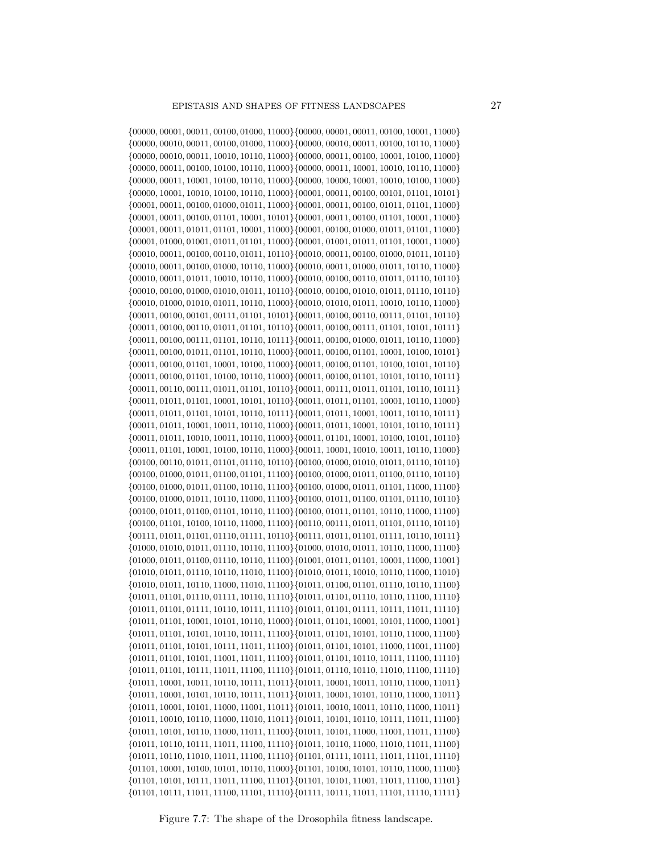{00000, 00001, 00011, 00100, 01000, 11000}{00000, 00001, 00011, 00100, 10001, 11000} {00000, 00010, 00011, 00100, 01000, 11000}{00000, 00010, 00011, 00100, 10110, 11000} {00000, 00010, 00011, 10010, 10110, 11000}{00000, 00011, 00100, 10001, 10100, 11000} {00000, 00011, 00100, 10100, 10110, 11000}{00000, 00011, 10001, 10010, 10110, 11000} {00000, 00011, 10001, 10100, 10110, 11000}{00000, 10000, 10001, 10010, 10100, 11000} {00000, 10001, 10010, 10100, 10110, 11000}{00001, 00011, 00100, 00101, 01101, 10101} {00001, 00011, 00100, 01000, 01011, 11000}{00001, 00011, 00100, 01011, 01101, 11000} {00001, 00011, 00100, 01101, 10001, 10101}{00001, 00011, 00100, 01101, 10001, 11000} {00001, 00011, 01011, 01101, 10001, 11000}{00001, 00100, 01000, 01011, 01101, 11000} {00001, 01000, 01001, 01011, 01101, 11000}{00001, 01001, 01011, 01101, 10001, 11000}  $\{00010, 00011, 00100, 00110, 01011, 10110\} \{00010, 00011, 00100, 01000, 01011, 10110\}$ {00010, 00011, 00100, 01000, 10110, 11000}{00010, 00011, 01000, 01011, 10110, 11000} {00010, 00011, 01011, 10010, 10110, 11000}{00010, 00100, 00110, 01011, 01110, 10110} {00010, 00100, 01000, 01010, 01011, 10110}{00010, 00100, 01010, 01011, 01110, 10110} {00010, 01000, 01010, 01011, 10110, 11000}{00010, 01010, 01011, 10010, 10110, 11000} {00011, 00100, 00101, 00111, 01101, 10101}{00011, 00100, 00110, 00111, 01101, 10110} {00011, 00100, 00110, 01011, 01101, 10110}{00011, 00100, 00111, 01101, 10101, 10111} {00011, 00100, 00111, 01101, 10110, 10111}{00011, 00100, 01000, 01011, 10110, 11000} {00011, 00100, 01011, 01101, 10110, 11000}{00011, 00100, 01101, 10001, 10100, 10101} {00011, 00100, 01101, 10001, 10100, 11000}{00011, 00100, 01101, 10100, 10101, 10110} {00011, 00100, 01101, 10100, 10110, 11000}{00011, 00100, 01101, 10101, 10110, 10111} {00011, 00110, 00111, 01011, 01101, 10110}{00011, 00111, 01011, 01101, 10110, 10111} {00011, 01011, 01101, 10001, 10101, 10110}{00011, 01011, 01101, 10001, 10110, 11000} {00011, 01011, 01101, 10101, 10110, 10111}{00011, 01011, 10001, 10011, 10110, 10111} {00011, 01011, 10001, 10011, 10110, 11000}{00011, 01011, 10001, 10101, 10110, 10111} {00011, 01011, 10010, 10011, 10110, 11000}{00011, 01101, 10001, 10100, 10101, 10110}  $\{00011, 01101, 10001, 10100, 10110, 11000\} \{00011, 10001, 10010, 10011, 10110, 11000\}$ {00100, 00110, 01011, 01101, 01110, 10110}{00100, 01000, 01010, 01011, 01110, 10110} {00100, 01000, 01011, 01100, 01101, 11100}{00100, 01000, 01011, 01100, 01110, 10110} {00100, 01000, 01011, 01100, 10110, 11100}{00100, 01000, 01011, 01101, 11000, 11100} {00100, 01000, 01011, 10110, 11000, 11100}{00100, 01011, 01100, 01101, 01110, 10110} {00100, 01011, 01100, 01101, 10110, 11100}{00100, 01011, 01101, 10110, 11000, 11100} {00100, 01101, 10100, 10110, 11000, 11100}{00110, 00111, 01011, 01101, 01110, 10110} {00111, 01011, 01101, 01110, 01111, 10110}{00111, 01011, 01101, 01111, 10110, 10111} {01000, 01010, 01011, 01110, 10110, 11100}{01000, 01010, 01011, 10110, 11000, 11100} {01000, 01011, 01100, 01110, 10110, 11100}{01001, 01011, 01101, 10001, 11000, 11001} {01010, 01011, 01110, 10110, 11010, 11100}{01010, 01011, 10010, 10110, 11000, 11010} {01010, 01011, 10110, 11000, 11010, 11100}{01011, 01100, 01101, 01110, 10110, 11100} {01011, 01101, 01110, 01111, 10110, 11110}{01011, 01101, 01110, 10110, 11100, 11110} {01011, 01101, 01111, 10110, 10111, 11110}{01011, 01101, 01111, 10111, 11011, 11110}  $\{01011, 01101, 10001, 10101, 10110, 11000\} \{01011, 01101, 10001, 10101, 11000, 11001\}$  $\{01011, 01101, 10101, 10110, 10111, 11100\} \{01011, 01101, 10101, 10110, 11000, 11100\}$ {01011, 01101, 10101, 10111, 11011, 11100}{01011, 01101, 10101, 11000, 11001, 11100}  $\{01011, 01101, 10101, 11001, 11011, 11100\} \{01011, 01101, 10110, 10111, 11100, 11110\}$ {01011, 01101, 10111, 11011, 11100, 11110}{01011, 01110, 10110, 11010, 11100, 11110} {01011, 10001, 10011, 10110, 10111, 11011}{01011, 10001, 10011, 10110, 11000, 11011} {01011, 10001, 10101, 10110, 10111, 11011}{01011, 10001, 10101, 10110, 11000, 11011} {01011, 10001, 10101, 11000, 11001, 11011}{01011, 10010, 10011, 10110, 11000, 11011} {01011, 10010, 10110, 11000, 11010, 11011}{01011, 10101, 10110, 10111, 11011, 11100} {01011, 10101, 10110, 11000, 11011, 11100}{01011, 10101, 11000, 11001, 11011, 11100} {01011, 10110, 10111, 11011, 11100, 11110}{01011, 10110, 11000, 11010, 11011, 11100} {01011, 10110, 11010, 11011, 11100, 11110}{01101, 01111, 10111, 11011, 11101, 11110} {01101, 10001, 10100, 10101, 10110, 11000}{01101, 10100, 10101, 10110, 11000, 11100} {01101, 10101, 10111, 11011, 11100, 11101}{01101, 10101, 11001, 11011, 11100, 11101} {01101, 10111, 11011, 11100, 11101, 11110}{01111, 10111, 11011, 11101, 11110, 11111}

<span id="page-26-0"></span>Figure 7.7: The shape of the Drosophila fitness landscape.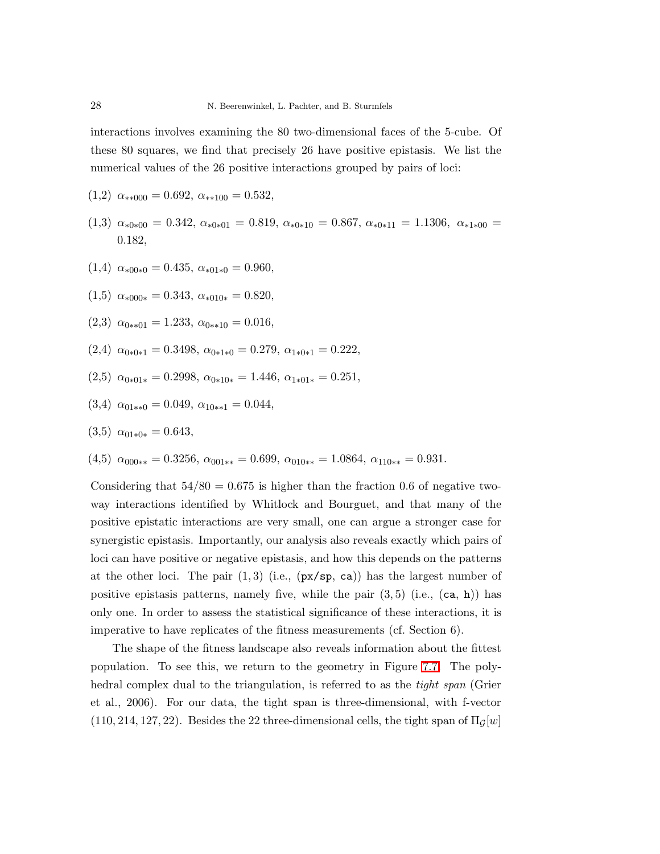interactions involves examining the 80 two-dimensional faces of the 5-cube. Of these 80 squares, we find that precisely 26 have positive epistasis. We list the numerical values of the 26 positive interactions grouped by pairs of loci:

- $(1,2)$   $\alpha_{**000} = 0.692$ ,  $\alpha_{**100} = 0.532$ ,
- $(1,3)$   $\alpha_{*0*00} = 0.342, \alpha_{*0*01} = 0.819, \alpha_{*0*10} = 0.867, \alpha_{*0*11} = 1.1306, \alpha_{*1*00} =$ 0.182,
- (1,4)  $\alpha_{*00*0} = 0.435, \alpha_{*01*0} = 0.960,$
- $(1,5) \ \alpha_{*000*} = 0.343, \ \alpha_{*010*} = 0.820,$
- (2,3)  $\alpha_{0**01} = 1.233, \alpha_{0**10} = 0.016,$
- $(2,4)$   $\alpha_{0*0*1} = 0.3498$ ,  $\alpha_{0*1*0} = 0.279$ ,  $\alpha_{1*0*1} = 0.222$ ,
- $(2,5)$   $\alpha_{0*01*} = 0.2998$ ,  $\alpha_{0*10*} = 1.446$ ,  $\alpha_{1*01*} = 0.251$ ,
- (3,4)  $\alpha_{01**0} = 0.049, \alpha_{10**1} = 0.044,$

$$
(3.5) \ \alpha_{01*0*} = 0.643,
$$

 $(4,5)$   $\alpha_{000**} = 0.3256$ ,  $\alpha_{001**} = 0.699$ ,  $\alpha_{010**} = 1.0864$ ,  $\alpha_{110**} = 0.931$ .

Considering that  $54/80 = 0.675$  is higher than the fraction 0.6 of negative twoway interactions identified by Whitlock and Bourguet, and that many of the positive epistatic interactions are very small, one can argue a stronger case for synergistic epistasis. Importantly, our analysis also reveals exactly which pairs of loci can have positive or negative epistasis, and how this depends on the patterns at the other loci. The pair  $(1,3)$  (i.e.,  $(px/sp, ca)$ ) has the largest number of positive epistasis patterns, namely five, while the pair  $(3,5)$  (i.e.,  $(ca, h)$ ) has only one. In order to assess the statistical significance of these interactions, it is imperative to have replicates of the fitness measurements (cf. Section 6).

The shape of the fitness landscape also reveals information about the fittest population. To see this, we return to the geometry in Figure [7.7.](#page-26-0) The polyhedral complex dual to the triangulation, is referred to as the *tight span* (Grier et al., 2006). For our data, the tight span is three-dimensional, with f-vector  $(110, 214, 127, 22)$ . Besides the 22 three-dimensional cells, the tight span of  $\Pi$ <sub>G</sub>[w]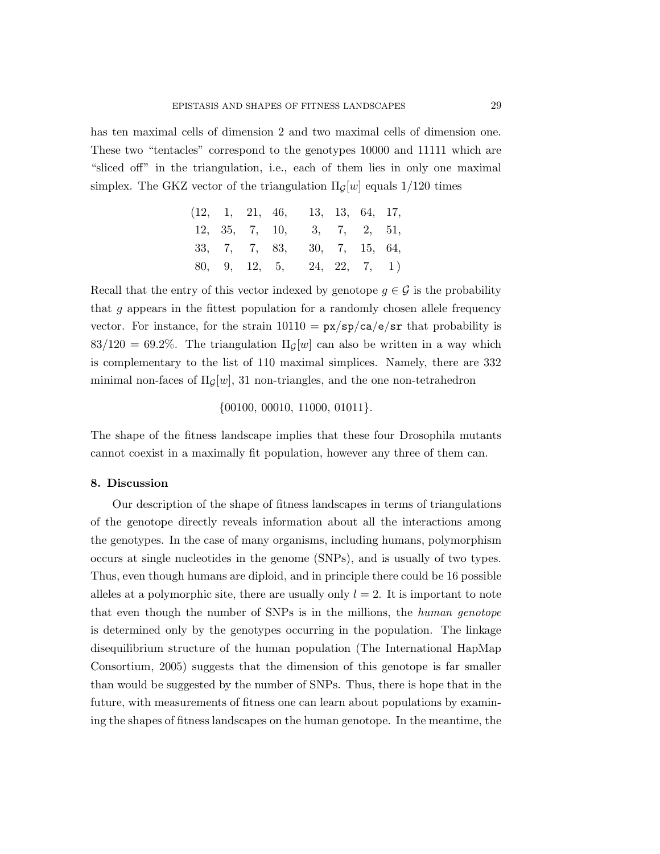has ten maximal cells of dimension 2 and two maximal cells of dimension one. These two "tentacles" correspond to the genotypes 10000 and 11111 which are "sliced off" in the triangulation, i.e., each of them lies in only one maximal simplex. The GKZ vector of the triangulation  $\Pi_G[w]$  equals 1/120 times

$$
\begin{array}{ccccccccc}\n(12, & 1, & 21, & 46, & 13, & 13, & 64, & 17, \\
12, & 35, & 7, & 10, & 3, & 7, & 2, & 51, \\
33, & 7, & 7, & 83, & 30, & 7, & 15, & 64, \\
80, & 9, & 12, & 5, & 24, & 22, & 7, & 1)\n\end{array}
$$

Recall that the entry of this vector indexed by genotope  $g \in \mathcal{G}$  is the probability that  $g$  appears in the fittest population for a randomly chosen allele frequency vector. For instance, for the strain  $10110 = \frac{px}{sp}{ca/e}/\frac{sr}{br}$  that probability is  $83/120 = 69.2\%$ . The triangulation  $\Pi_G[w]$  can also be written in a way which is complementary to the list of 110 maximal simplices. Namely, there are 332 minimal non-faces of  $\Pi_G[w]$ , 31 non-triangles, and the one non-tetrahedron

# {00100, 00010, 11000, 01011}.

The shape of the fitness landscape implies that these four Drosophila mutants cannot coexist in a maximally fit population, however any three of them can.

### 8. Discussion

Our description of the shape of fitness landscapes in terms of triangulations of the genotope directly reveals information about all the interactions among the genotypes. In the case of many organisms, including humans, polymorphism occurs at single nucleotides in the genome (SNPs), and is usually of two types. Thus, even though humans are diploid, and in principle there could be 16 possible alleles at a polymorphic site, there are usually only  $l = 2$ . It is important to note that even though the number of SNPs is in the millions, the *human genotope* is determined only by the genotypes occurring in the population. The linkage disequilibrium structure of the human population (The International HapMap Consortium, 2005) suggests that the dimension of this genotope is far smaller than would be suggested by the number of SNPs. Thus, there is hope that in the future, with measurements of fitness one can learn about populations by examining the shapes of fitness landscapes on the human genotope. In the meantime, the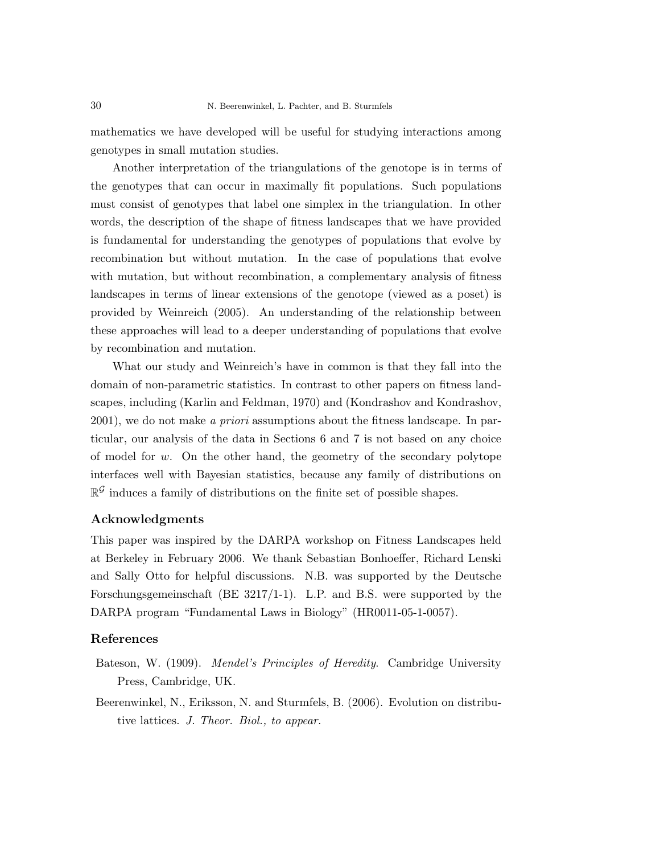mathematics we have developed will be useful for studying interactions among genotypes in small mutation studies.

Another interpretation of the triangulations of the genotope is in terms of the genotypes that can occur in maximally fit populations. Such populations must consist of genotypes that label one simplex in the triangulation. In other words, the description of the shape of fitness landscapes that we have provided is fundamental for understanding the genotypes of populations that evolve by recombination but without mutation. In the case of populations that evolve with mutation, but without recombination, a complementary analysis of fitness landscapes in terms of linear extensions of the genotope (viewed as a poset) is provided by Weinreich (2005). An understanding of the relationship between these approaches will lead to a deeper understanding of populations that evolve by recombination and mutation.

What our study and Weinreich's have in common is that they fall into the domain of non-parametric statistics. In contrast to other papers on fitness landscapes, including (Karlin and Feldman, 1970) and (Kondrashov and Kondrashov, 2001), we do not make *a priori* assumptions about the fitness landscape. In particular, our analysis of the data in Sections 6 and 7 is not based on any choice of model for w. On the other hand, the geometry of the secondary polytope interfaces well with Bayesian statistics, because any family of distributions on  $\mathbb{R}^{\mathcal{G}}$  induces a family of distributions on the finite set of possible shapes.

# Acknowledgments

This paper was inspired by the DARPA workshop on Fitness Landscapes held at Berkeley in February 2006. We thank Sebastian Bonhoeffer, Richard Lenski and Sally Otto for helpful discussions. N.B. was supported by the Deutsche Forschungsgemeinschaft (BE 3217/1-1). L.P. and B.S. were supported by the DARPA program "Fundamental Laws in Biology" (HR0011-05-1-0057).

### References

- Bateson, W. (1909). *Mendel's Principles of Heredity*. Cambridge University Press, Cambridge, UK.
- Beerenwinkel, N., Eriksson, N. and Sturmfels, B. (2006). Evolution on distributive lattices. *J. Theor. Biol., to appear.*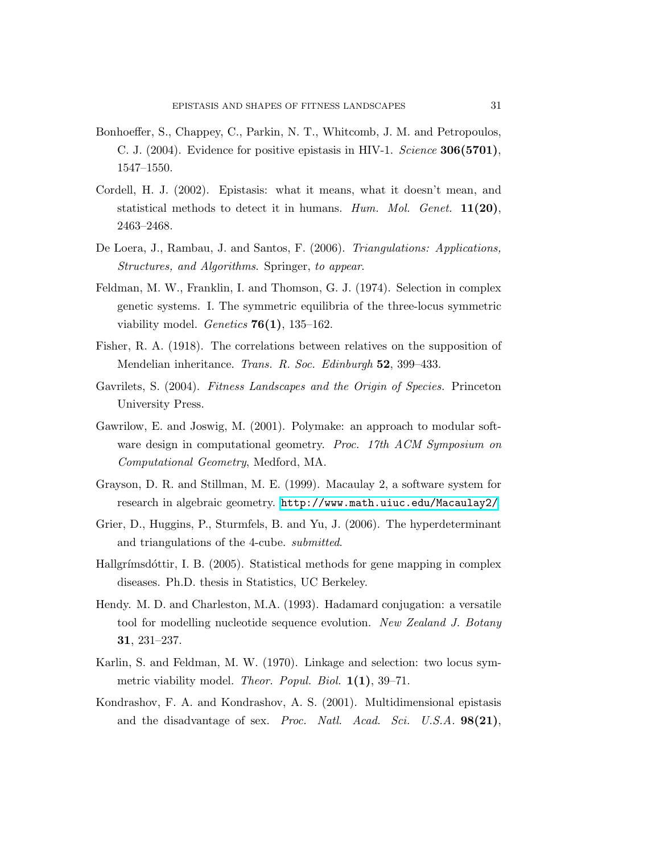- Bonhoeffer, S., Chappey, C., Parkin, N. T., Whitcomb, J. M. and Petropoulos, C. J. (2004). Evidence for positive epistasis in HIV-1. *Science* 306(5701), 1547–1550.
- Cordell, H. J. (2002). Epistasis: what it means, what it doesn't mean, and statistical methods to detect it in humans. *Hum. Mol. Genet.* 11(20), 2463–2468.
- De Loera, J., Rambau, J. and Santos, F. (2006). *Triangulations: Applications, Structures, and Algorithms*. Springer, *to appear*.
- Feldman, M. W., Franklin, I. and Thomson, G. J. (1974). Selection in complex genetic systems. I. The symmetric equilibria of the three-locus symmetric viability model. *Genetics* 76(1), 135–162.
- Fisher, R. A. (1918). The correlations between relatives on the supposition of Mendelian inheritance. *Trans. R. Soc. Edinburgh* 52, 399–433.
- Gavrilets, S. (2004). *Fitness Landscapes and the Origin of Species.* Princeton University Press.
- Gawrilow, E. and Joswig, M. (2001). Polymake: an approach to modular software design in computational geometry. *Proc. 17th ACM Symposium on Computational Geometry*, Medford, MA.
- Grayson, D. R. and Stillman, M. E. (1999). Macaulay 2, a software system for research in algebraic geometry. <http://www.math.uiuc.edu/Macaulay2/>.
- Grier, D., Huggins, P., Sturmfels, B. and Yu, J. (2006). The hyperdeterminant and triangulations of the 4-cube. *submitted*.
- Hallgrímsdóttir, I. B. (2005). Statistical methods for gene mapping in complex diseases. Ph.D. thesis in Statistics, UC Berkeley.
- Hendy. M. D. and Charleston, M.A. (1993). Hadamard conjugation: a versatile tool for modelling nucleotide sequence evolution. *New Zealand J. Botany* 31, 231–237.
- Karlin, S. and Feldman, M. W. (1970). Linkage and selection: two locus symmetric viability model. *Theor. Popul. Biol.* 1(1), 39–71.
- Kondrashov, F. A. and Kondrashov, A. S. (2001). Multidimensional epistasis and the disadvantage of sex. *Proc. Natl. Acad. Sci. U.S.A.* 98(21),